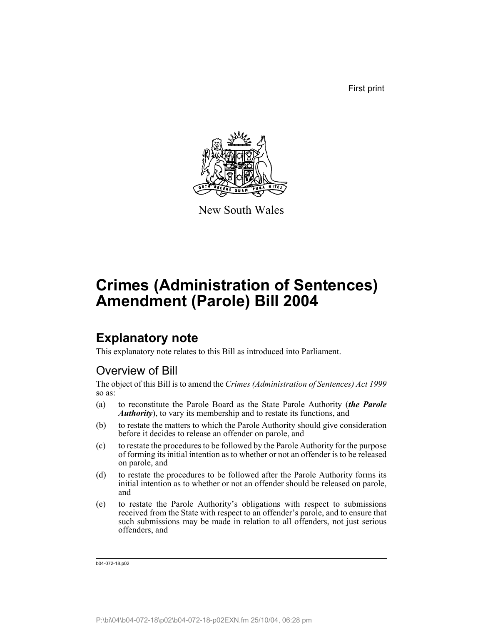First print



New South Wales

# **Crimes (Administration of Sentences) Amendment (Parole) Bill 2004**

# **Explanatory note**

This explanatory note relates to this Bill as introduced into Parliament.

## Overview of Bill

The object of this Bill is to amend the *Crimes (Administration of Sentences) Act 1999* so as:

- (a) to reconstitute the Parole Board as the State Parole Authority (*the Parole Authority*), to vary its membership and to restate its functions, and
- (b) to restate the matters to which the Parole Authority should give consideration before it decides to release an offender on parole, and
- (c) to restate the procedures to be followed by the Parole Authority for the purpose of forming its initial intention as to whether or not an offender is to be released on parole, and
- (d) to restate the procedures to be followed after the Parole Authority forms its initial intention as to whether or not an offender should be released on parole, and
- (e) to restate the Parole Authority's obligations with respect to submissions received from the State with respect to an offender's parole, and to ensure that such submissions may be made in relation to all offenders, not just serious offenders, and

b04-072-18.p02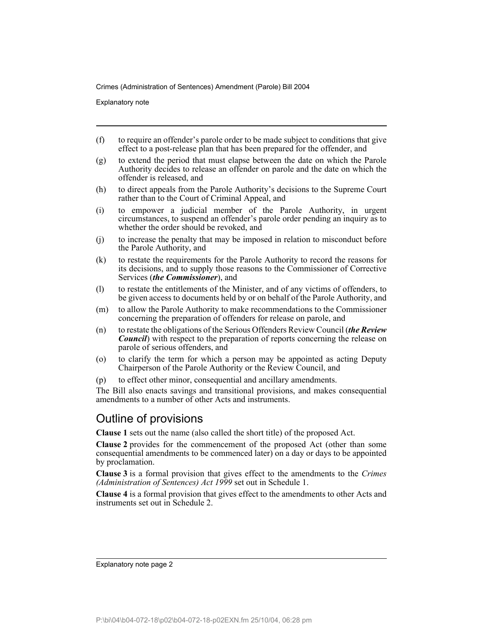Explanatory note

- (f) to require an offender's parole order to be made subject to conditions that give effect to a post-release plan that has been prepared for the offender, and
- (g) to extend the period that must elapse between the date on which the Parole Authority decides to release an offender on parole and the date on which the offender is released, and
- (h) to direct appeals from the Parole Authority's decisions to the Supreme Court rather than to the Court of Criminal Appeal, and
- (i) to empower a judicial member of the Parole Authority, in urgent circumstances, to suspend an offender's parole order pending an inquiry as to whether the order should be revoked, and
- (j) to increase the penalty that may be imposed in relation to misconduct before the Parole Authority, and
- (k) to restate the requirements for the Parole Authority to record the reasons for its decisions, and to supply those reasons to the Commissioner of Corrective Services (*the Commissioner*), and
- (l) to restate the entitlements of the Minister, and of any victims of offenders, to be given access to documents held by or on behalf of the Parole Authority, and
- (m) to allow the Parole Authority to make recommendations to the Commissioner concerning the preparation of offenders for release on parole, and
- (n) to restate the obligations of the Serious Offenders Review Council (*the Review Council*) with respect to the preparation of reports concerning the release on parole of serious offenders, and
- (o) to clarify the term for which a person may be appointed as acting Deputy Chairperson of the Parole Authority or the Review Council, and
- (p) to effect other minor, consequential and ancillary amendments.

The Bill also enacts savings and transitional provisions, and makes consequential amendments to a number of other Acts and instruments.

## Outline of provisions

**Clause 1** sets out the name (also called the short title) of the proposed Act.

**Clause 2** provides for the commencement of the proposed Act (other than some consequential amendments to be commenced later) on a day or days to be appointed by proclamation.

**Clause 3** is a formal provision that gives effect to the amendments to the *Crimes (Administration of Sentences) Act 1999* set out in Schedule 1.

**Clause 4** is a formal provision that gives effect to the amendments to other Acts and instruments set out in Schedule 2.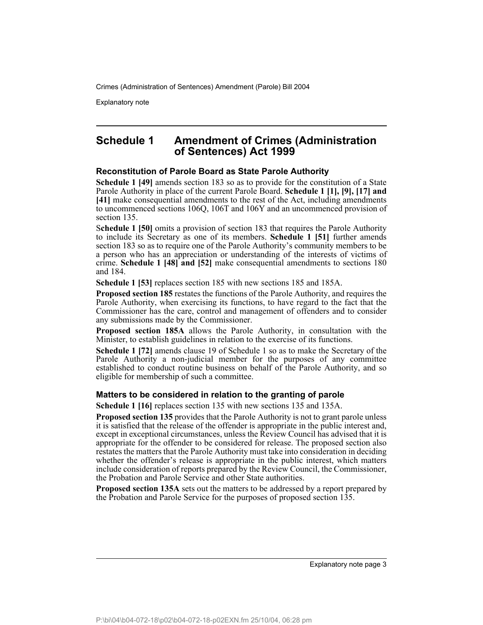Explanatory note

## **Schedule 1 Amendment of Crimes (Administration of Sentences) Act 1999**

#### **Reconstitution of Parole Board as State Parole Authority**

**Schedule 1 [49]** amends section 183 so as to provide for the constitution of a State Parole Authority in place of the current Parole Board. **Schedule 1 [1], [9], [17] and [41]** make consequential amendments to the rest of the Act, including amendments to uncommenced sections 106Q, 106T and 106Y and an uncommenced provision of section 135.

S**chedule 1 [50]** omits a provision of section 183 that requires the Parole Authority to include its Secretary as one of its members. **Schedule 1 [51]** further amends section 183 so as to require one of the Parole Authority's community members to be a person who has an appreciation or understanding of the interests of victims of crime. **Schedule 1 [48] and [52]** make consequential amendments to sections 180 and 184.

**Schedule 1 [53]** replaces section 185 with new sections 185 and 185A.

**Proposed section 185** restates the functions of the Parole Authority, and requires the Parole Authority, when exercising its functions, to have regard to the fact that the Commissioner has the care, control and management of offenders and to consider any submissions made by the Commissioner.

**Proposed section 185A** allows the Parole Authority, in consultation with the Minister, to establish guidelines in relation to the exercise of its functions.

**Schedule 1 [72]** amends clause 19 of Schedule 1 so as to make the Secretary of the Parole Authority a non-judicial member for the purposes of any committee established to conduct routine business on behalf of the Parole Authority, and so eligible for membership of such a committee.

#### **Matters to be considered in relation to the granting of parole**

**Schedule 1 [16]** replaces section 135 with new sections 135 and 135A.

**Proposed section 135** provides that the Parole Authority is not to grant parole unless it is satisfied that the release of the offender is appropriate in the public interest and, except in exceptional circumstances, unless the Review Council has advised that it is appropriate for the offender to be considered for release. The proposed section also restates the matters that the Parole Authority must take into consideration in deciding whether the offender's release is appropriate in the public interest, which matters include consideration of reports prepared by the Review Council, the Commissioner, the Probation and Parole Service and other State authorities.

**Proposed section 135A** sets out the matters to be addressed by a report prepared by the Probation and Parole Service for the purposes of proposed section 135.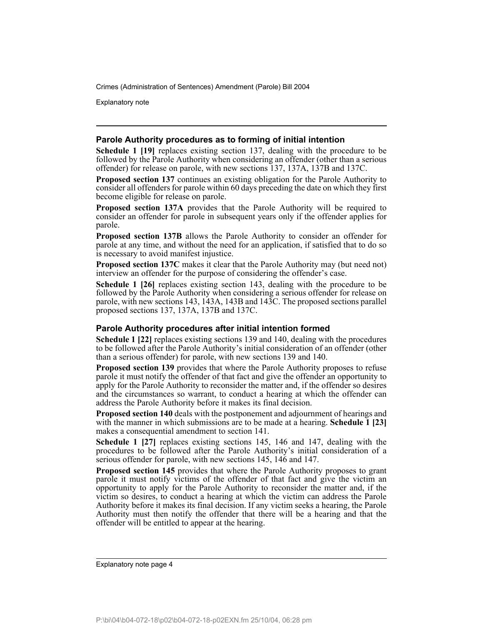Explanatory note

#### **Parole Authority procedures as to forming of initial intention**

**Schedule 1 [19]** replaces existing section 137, dealing with the procedure to be followed by the Parole Authority when considering an offender (other than a serious offender) for release on parole, with new sections 137, 137A, 137B and 137C.

**Proposed section 137** continues an existing obligation for the Parole Authority to consider all offenders for parole within 60 days preceding the date on which they first become eligible for release on parole.

**Proposed section 137A** provides that the Parole Authority will be required to consider an offender for parole in subsequent years only if the offender applies for parole.

**Proposed section 137B** allows the Parole Authority to consider an offender for parole at any time, and without the need for an application, if satisfied that to do so is necessary to avoid manifest injustice.

**Proposed section 137C** makes it clear that the Parole Authority may (but need not) interview an offender for the purpose of considering the offender's case.

**Schedule 1 [26]** replaces existing section 143, dealing with the procedure to be followed by the Parole Authority when considering a serious offender for release on parole, with new sections 143, 143A, 143B and 143C. The proposed sections parallel proposed sections 137, 137A, 137B and 137C.

#### **Parole Authority procedures after initial intention formed**

**Schedule 1 [22]** replaces existing sections 139 and 140, dealing with the procedures to be followed after the Parole Authority's initial consideration of an offender (other than a serious offender) for parole, with new sections 139 and 140.

**Proposed section 139** provides that where the Parole Authority proposes to refuse parole it must notify the offender of that fact and give the offender an opportunity to apply for the Parole Authority to reconsider the matter and, if the offender so desires and the circumstances so warrant, to conduct a hearing at which the offender can address the Parole Authority before it makes its final decision.

**Proposed section 140** deals with the postponement and adjournment of hearings and with the manner in which submissions are to be made at a hearing. **Schedule 1 [23]** makes a consequential amendment to section 141.

**Schedule 1 [27]** replaces existing sections 145, 146 and 147, dealing with the procedures to be followed after the Parole Authority's initial consideration of a serious offender for parole, with new sections 145, 146 and 147.

**Proposed section 145** provides that where the Parole Authority proposes to grant parole it must notify victims of the offender of that fact and give the victim an opportunity to apply for the Parole Authority to reconsider the matter and, if the victim so desires, to conduct a hearing at which the victim can address the Parole Authority before it makes its final decision. If any victim seeks a hearing, the Parole Authority must then notify the offender that there will be a hearing and that the offender will be entitled to appear at the hearing.

Explanatory note page 4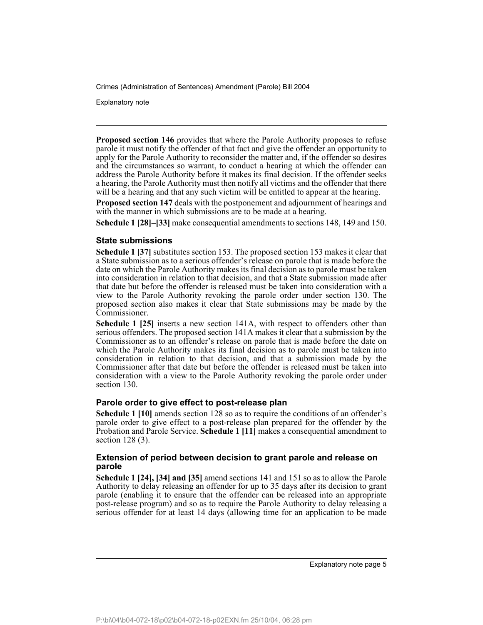Explanatory note

**Proposed section 146** provides that where the Parole Authority proposes to refuse parole it must notify the offender of that fact and give the offender an opportunity to apply for the Parole Authority to reconsider the matter and, if the offender so desires and the circumstances so warrant, to conduct a hearing at which the offender can address the Parole Authority before it makes its final decision. If the offender seeks a hearing, the Parole Authority must then notify all victims and the offender that there will be a hearing and that any such victim will be entitled to appear at the hearing.

**Proposed section 147** deals with the postponement and adjournment of hearings and with the manner in which submissions are to be made at a hearing.

**Schedule 1 [28]–[33]** make consequential amendments to sections 148, 149 and 150.

#### **State submissions**

**Schedule 1 [37]** substitutes section 153. The proposed section 153 makes it clear that a State submission as to a serious offender's release on parole that is made before the date on which the Parole Authority makes its final decision as to parole must be taken into consideration in relation to that decision, and that a State submission made after that date but before the offender is released must be taken into consideration with a view to the Parole Authority revoking the parole order under section 130. The proposed section also makes it clear that State submissions may be made by the Commissioner.

**Schedule 1 [25]** inserts a new section 141A, with respect to offenders other than serious offenders. The proposed section 141A makes it clear that a submission by the Commissioner as to an offender's release on parole that is made before the date on which the Parole Authority makes its final decision as to parole must be taken into consideration in relation to that decision, and that a submission made by the Commissioner after that date but before the offender is released must be taken into consideration with a view to the Parole Authority revoking the parole order under section 130.

#### **Parole order to give effect to post-release plan**

**Schedule 1 [10]** amends section 128 so as to require the conditions of an offender's parole order to give effect to a post-release plan prepared for the offender by the Probation and Parole Service. **Schedule 1 [11]** makes a consequential amendment to section 128 (3).

#### **Extension of period between decision to grant parole and release on parole**

**Schedule 1 [24], [34] and [35]** amend sections 141 and 151 so as to allow the Parole Authority to delay releasing an offender for up to 35 days after its decision to grant parole (enabling it to ensure that the offender can be released into an appropriate post-release program) and so as to require the Parole Authority to delay releasing a serious offender for at least 14 days (allowing time for an application to be made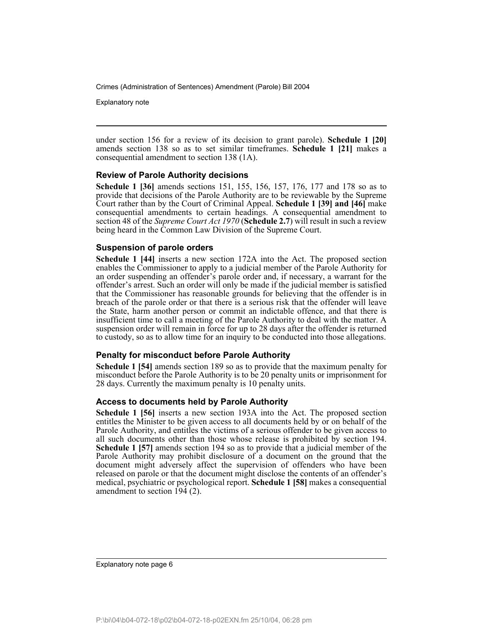Explanatory note

under section 156 for a review of its decision to grant parole). **Schedule 1 [20]** amends section 138 so as to set similar timeframes. **Schedule 1 [21]** makes a consequential amendment to section 138 (1A).

#### **Review of Parole Authority decisions**

**Schedule 1 [36]** amends sections 151, 155, 156, 157, 176, 177 and 178 so as to provide that decisions of the Parole Authority are to be reviewable by the Supreme Court rather than by the Court of Criminal Appeal. **Schedule 1 [39] and [46]** make consequential amendments to certain headings. A consequential amendment to section 48 of the *Supreme Court Act 1970* (**Schedule 2.7**) will result in such a review being heard in the Common Law Division of the Supreme Court.

#### **Suspension of parole orders**

**Schedule 1 [44]** inserts a new section 172A into the Act. The proposed section enables the Commissioner to apply to a judicial member of the Parole Authority for an order suspending an offender's parole order and, if necessary, a warrant for the offender's arrest. Such an order will only be made if the judicial member is satisfied that the Commissioner has reasonable grounds for believing that the offender is in breach of the parole order or that there is a serious risk that the offender will leave the State, harm another person or commit an indictable offence, and that there is insufficient time to call a meeting of the Parole Authority to deal with the matter. A suspension order will remain in force for up to 28 days after the offender is returned to custody, so as to allow time for an inquiry to be conducted into those allegations.

#### **Penalty for misconduct before Parole Authority**

**Schedule 1 [54]** amends section 189 so as to provide that the maximum penalty for misconduct before the Parole Authority is to be 20 penalty units or imprisonment for 28 days. Currently the maximum penalty is 10 penalty units.

#### **Access to documents held by Parole Authority**

**Schedule 1 [56]** inserts a new section 193A into the Act. The proposed section entitles the Minister to be given access to all documents held by or on behalf of the Parole Authority, and entitles the victims of a serious offender to be given access to all such documents other than those whose release is prohibited by section 194. **Schedule 1 [57]** amends section 194 so as to provide that a judicial member of the Parole Authority may prohibit disclosure of a document on the ground that the document might adversely affect the supervision of offenders who have been released on parole or that the document might disclose the contents of an offender's medical, psychiatric or psychological report. **Schedule 1 [58]** makes a consequential amendment to section 194 (2).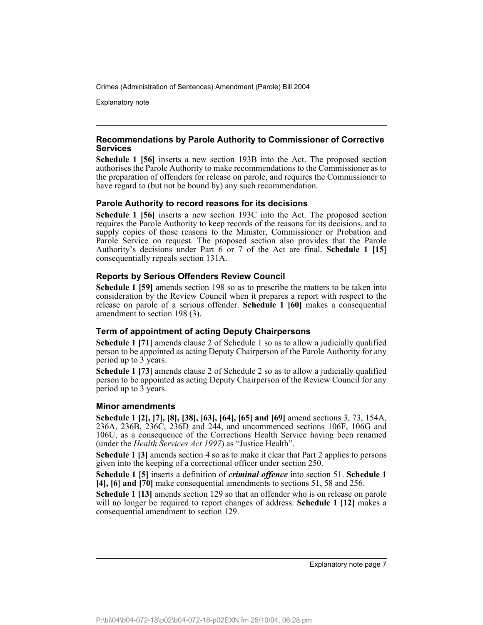Explanatory note

#### **Recommendations by Parole Authority to Commissioner of Corrective Services**

**Schedule 1 [56]** inserts a new section 193B into the Act. The proposed section authorises the Parole Authority to make recommendations to the Commissioner as to the preparation of offenders for release on parole, and requires the Commissioner to have regard to (but not be bound by) any such recommendation.

#### **Parole Authority to record reasons for its decisions**

**Schedule 1 [56]** inserts a new section 193C into the Act. The proposed section requires the Parole Authority to keep records of the reasons for its decisions, and to supply copies of those reasons to the Minister, Commissioner or Probation and Parole Service on request. The proposed section also provides that the Parole Authority's decisions under Part 6 or 7 of the Act are final. **Schedule 1 [15]** consequentially repeals section 131A.

#### **Reports by Serious Offenders Review Council**

**Schedule 1 [59]** amends section 198 so as to prescribe the matters to be taken into consideration by the Review Council when it prepares a report with respect to the release on parole of a serious offender. **Schedule 1 [60]** makes a consequential amendment to section 198 (3).

#### **Term of appointment of acting Deputy Chairpersons**

**Schedule 1 [71]** amends clause 2 of Schedule 1 so as to allow a judicially qualified person to be appointed as acting Deputy Chairperson of the Parole Authority for any period up to 3 years.

**Schedule 1 [73]** amends clause 2 of Schedule 2 so as to allow a judicially qualified person to be appointed as acting Deputy Chairperson of the Review Council for any period up to 3 years.

#### **Minor amendments**

**Schedule 1 [2], [7], [8], [38], [63], [64], [65] and [69]** amend sections 3, 73, 154A, 236A, 236B, 236C, 236D and 244, and uncommenced sections 106F, 106G and 106U, as a consequence of the Corrections Health Service having been renamed (under the *Health Services Act 1997*) as "Justice Health".

**Schedule 1 [3]** amends section 4 so as to make it clear that Part 2 applies to persons given into the keeping of a correctional officer under section 250.

**Schedule 1 [5]** inserts a definition of *criminal offence* into section 51. **Schedule 1 [4], [6] and [70]** make consequential amendments to sections 51, 58 and 256.

**Schedule 1 [13]** amends section 129 so that an offender who is on release on parole will no longer be required to report changes of address. **Schedule 1 [12]** makes a consequential amendment to section 129.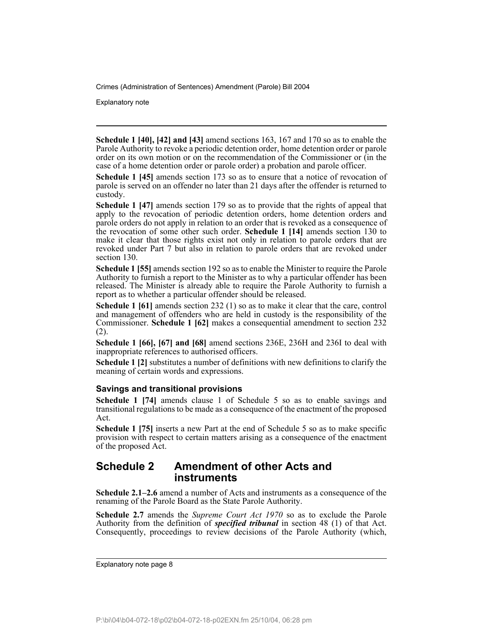Explanatory note

**Schedule 1 [40], [42] and [43]** amend sections 163, 167 and 170 so as to enable the Parole Authority to revoke a periodic detention order, home detention order or parole order on its own motion or on the recommendation of the Commissioner or (in the case of a home detention order or parole order) a probation and parole officer.

**Schedule 1 [45]** amends section 173 so as to ensure that a notice of revocation of parole is served on an offender no later than 21 days after the offender is returned to custody.

**Schedule 1 [47]** amends section 179 so as to provide that the rights of appeal that apply to the revocation of periodic detention orders, home detention orders and parole orders do not apply in relation to an order that is revoked as a consequence of the revocation of some other such order. **Schedule 1 [14]** amends section 130 to make it clear that those rights exist not only in relation to parole orders that are revoked under Part 7 but also in relation to parole orders that are revoked under section 130.

**Schedule 1 [55]** amends section 192 so as to enable the Minister to require the Parole Authority to furnish a report to the Minister as to why a particular offender has been released. The Minister is already able to require the Parole Authority to furnish a report as to whether a particular offender should be released.

**Schedule 1 [61]** amends section 232 (1) so as to make it clear that the care, control and management of offenders who are held in custody is the responsibility of the Commissioner. **Schedule 1 [62]** makes a consequential amendment to section 232 (2).

**Schedule 1 [66], [67] and [68]** amend sections 236E, 236H and 236I to deal with inappropriate references to authorised officers.

**Schedule 1 [2]** substitutes a number of definitions with new definitions to clarify the meaning of certain words and expressions.

#### **Savings and transitional provisions**

**Schedule 1 [74]** amends clause 1 of Schedule 5 so as to enable savings and transitional regulations to be made as a consequence of the enactment of the proposed Act.

**Schedule 1 [75]** inserts a new Part at the end of Schedule 5 so as to make specific provision with respect to certain matters arising as a consequence of the enactment of the proposed Act.

### **Schedule 2 Amendment of other Acts and instruments**

**Schedule 2.1–2.6** amend a number of Acts and instruments as a consequence of the renaming of the Parole Board as the State Parole Authority.

**Schedule 2.7** amends the *Supreme Court Act 1970* so as to exclude the Parole Authority from the definition of *specified tribunal* in section 48 (1) of that Act. Consequently, proceedings to review decisions of the Parole Authority (which,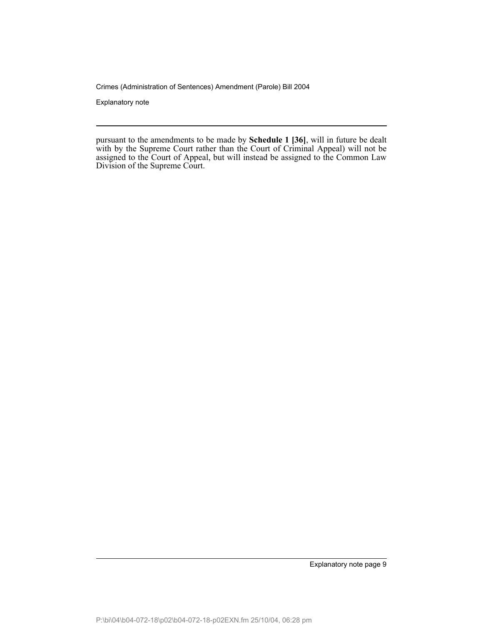Explanatory note

pursuant to the amendments to be made by **Schedule 1 [36]**, will in future be dealt with by the Supreme Court rather than the Court of Criminal Appeal) will not be assigned to the Court of Appeal, but will instead be assigned to the Common Law Division of the Supreme Court.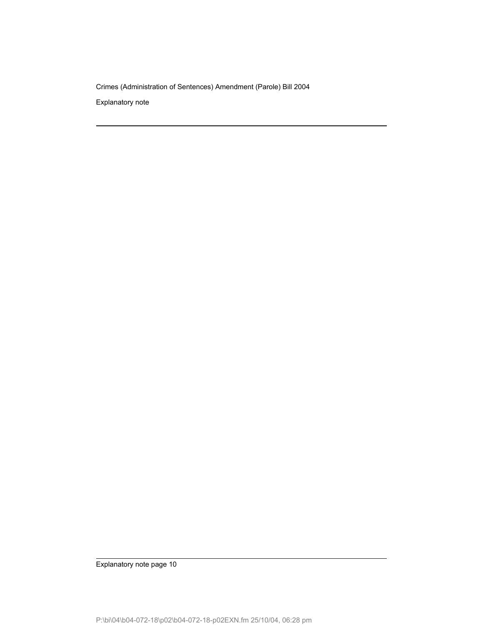Explanatory note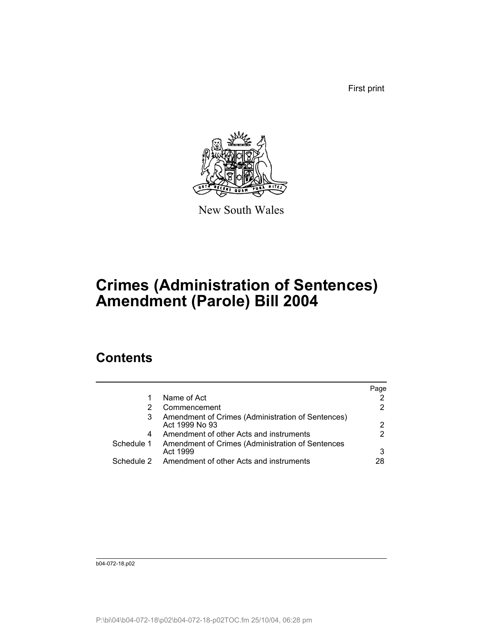First print



New South Wales

# **Crimes (Administration of Sentences) Amendment (Parole) Bill 2004**

## **Contents**

|            |                                                                     | Page |
|------------|---------------------------------------------------------------------|------|
|            | Name of Act                                                         |      |
|            | Commencement                                                        |      |
| 3          | Amendment of Crimes (Administration of Sentences)<br>Act 1999 No 93 | 2    |
| 4          | Amendment of other Acts and instruments                             |      |
| Schedule 1 | Amendment of Crimes (Administration of Sentences<br>Act 1999        |      |
| Schedule 2 | Amendment of other Acts and instruments                             | 28   |

b04-072-18.p02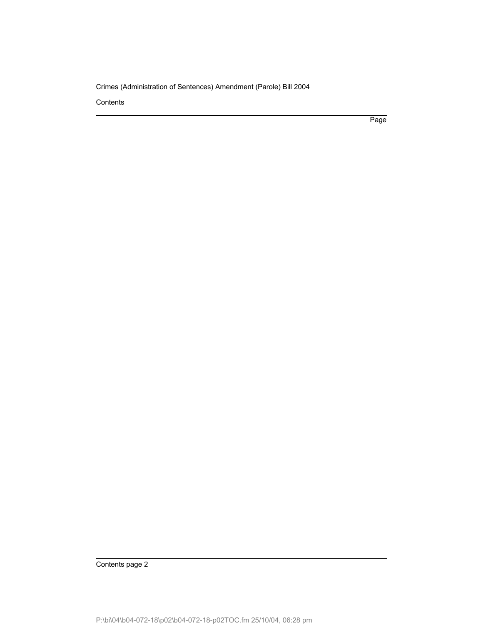**Contents** 

Page

Contents page 2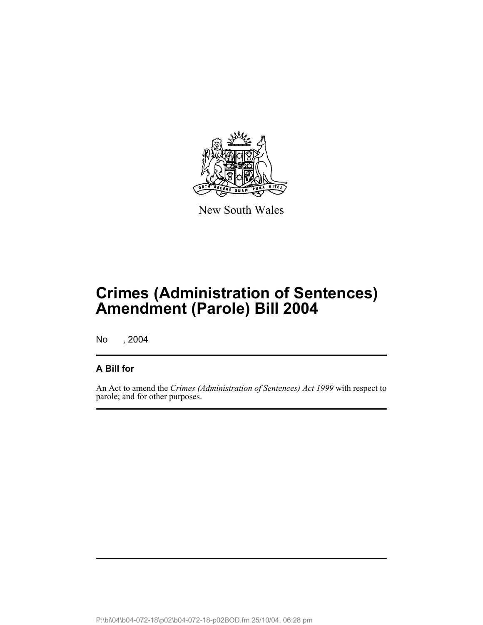

New South Wales

No , 2004

### **A Bill for**

An Act to amend the *Crimes (Administration of Sentences) Act 1999* with respect to parole; and for other purposes.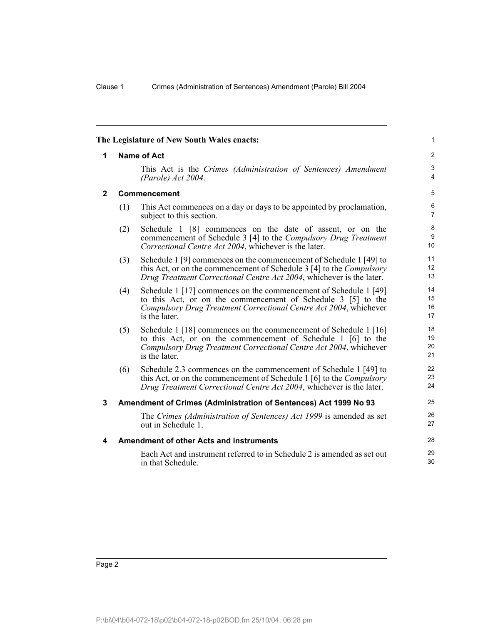|              |                    |                                                                                                                                                                                                                           | $\mathbf{1}$         |  |  |  |  |
|--------------|--------------------|---------------------------------------------------------------------------------------------------------------------------------------------------------------------------------------------------------------------------|----------------------|--|--|--|--|
|              |                    | The Legislature of New South Wales enacts:                                                                                                                                                                                |                      |  |  |  |  |
| 1            | <b>Name of Act</b> |                                                                                                                                                                                                                           |                      |  |  |  |  |
|              |                    | This Act is the Crimes (Administration of Sentences) Amendment<br>(Parole) Act 2004.                                                                                                                                      | 3<br>4               |  |  |  |  |
| $\mathbf{2}$ |                    | Commencement                                                                                                                                                                                                              | 5                    |  |  |  |  |
|              | (1)                | This Act commences on a day or days to be appointed by proclamation,<br>subject to this section.                                                                                                                          | 6<br>$\overline{7}$  |  |  |  |  |
|              | (2)                | Schedule 1 [8] commences on the date of assent, or on the<br>commencement of Schedule 3 [4] to the Compulsory Drug Treatment<br>Correctional Centre Act 2004, whichever is the later.                                     | 8<br>9<br>10         |  |  |  |  |
|              | (3)                | Schedule 1 [9] commences on the commencement of Schedule 1 [49] to<br>this Act, or on the commencement of Schedule 3 [4] to the <i>Compulsory</i><br>Drug Treatment Correctional Centre Act 2004, whichever is the later. | 11<br>12<br>13       |  |  |  |  |
|              | (4)                | Schedule 1 [17] commences on the commencement of Schedule 1 [49]<br>to this Act, or on the commencement of Schedule 3 [5] to the<br>Compulsory Drug Treatment Correctional Centre Act 2004, whichever<br>is the later.    | 14<br>15<br>16<br>17 |  |  |  |  |
|              | (5)                | Schedule 1 [18] commences on the commencement of Schedule 1 [16]<br>to this Act, or on the commencement of Schedule 1 [6] to the<br>Compulsory Drug Treatment Correctional Centre Act 2004, whichever<br>is the later.    | 18<br>19<br>20<br>21 |  |  |  |  |
|              | (6)                | Schedule 2.3 commences on the commencement of Schedule 1 [49] to<br>this Act, or on the commencement of Schedule 1 [6] to the <i>Compulsory</i><br>Drug Treatment Correctional Centre Act 2004, whichever is the later.   | 22<br>23<br>24       |  |  |  |  |
| 3            |                    | Amendment of Crimes (Administration of Sentences) Act 1999 No 93                                                                                                                                                          | 25                   |  |  |  |  |
|              |                    | The Crimes (Administration of Sentences) Act 1999 is amended as set<br>out in Schedule 1.                                                                                                                                 | 26<br>27             |  |  |  |  |
| 4            |                    | <b>Amendment of other Acts and instruments</b>                                                                                                                                                                            | 28                   |  |  |  |  |
|              |                    | Each Act and instrument referred to in Schedule 2 is amended as set out<br>in that Schedule.                                                                                                                              | 29<br>30             |  |  |  |  |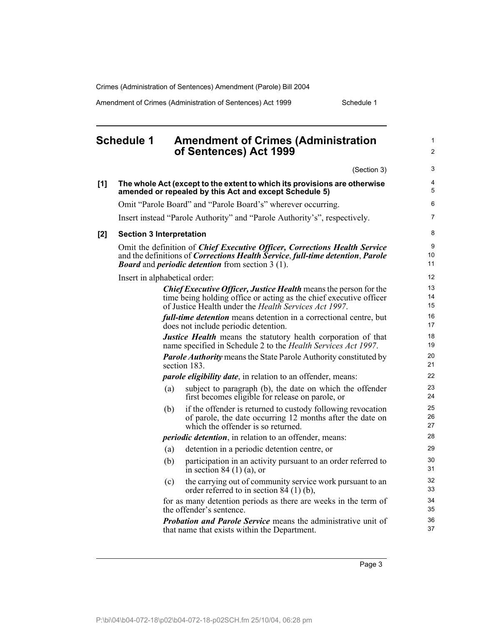Amendment of Crimes (Administration of Sentences) Act 1999 Schedule 1

|     | <b>Schedule 1</b>               |     | <b>Amendment of Crimes (Administration</b><br>of Sentences) Act 1999                                                                                                                                                                          | $\mathbf{1}$<br>$\overline{2}$ |
|-----|---------------------------------|-----|-----------------------------------------------------------------------------------------------------------------------------------------------------------------------------------------------------------------------------------------------|--------------------------------|
|     |                                 |     | (Section 3)                                                                                                                                                                                                                                   | 3                              |
| [1] |                                 |     | The whole Act (except to the extent to which its provisions are otherwise<br>amended or repealed by this Act and except Schedule 5)                                                                                                           | 4<br>5                         |
|     |                                 |     | Omit "Parole Board" and "Parole Board's" wherever occurring.                                                                                                                                                                                  | 6                              |
|     |                                 |     | Insert instead "Parole Authority" and "Parole Authority's", respectively.                                                                                                                                                                     | $\overline{7}$                 |
| [2] | <b>Section 3 Interpretation</b> |     |                                                                                                                                                                                                                                               | 8                              |
|     |                                 |     | Omit the definition of <i>Chief Executive Officer</i> , <i>Corrections Health Service</i><br>and the definitions of Corrections Health Service, full-time detention, Parole<br><b>Board</b> and <i>periodic detention</i> from section 3 (1). | 9<br>10 <sup>1</sup><br>11     |
|     | Insert in alphabetical order:   |     |                                                                                                                                                                                                                                               | 12                             |
|     |                                 |     | <b>Chief Executive Officer, Justice Health means the person for the</b><br>time being holding office or acting as the chief executive officer<br>of Justice Health under the Health Services Act 1997.                                        | 13<br>14<br>15                 |
|     |                                 |     | <i>full-time detention</i> means detention in a correctional centre, but<br>does not include periodic detention.                                                                                                                              | 16<br>17                       |
|     |                                 |     | <b>Justice Health</b> means the statutory health corporation of that<br>name specified in Schedule 2 to the Health Services Act 1997.                                                                                                         | 18<br>19                       |
|     |                                 |     | <b>Parole Authority</b> means the State Parole Authority constituted by<br>section 183.                                                                                                                                                       | 20<br>21                       |
|     |                                 |     | <i>parole eligibility date</i> , in relation to an offender, means:                                                                                                                                                                           | 22                             |
|     |                                 | (a) | subject to paragraph (b), the date on which the offender<br>first becomes eligible for release on parole, or                                                                                                                                  | 23<br>24                       |
|     |                                 | (b) | if the offender is returned to custody following revocation<br>of parole, the date occurring 12 months after the date on<br>which the offender is so returned.                                                                                | 25<br>26<br>27                 |
|     |                                 |     | <i>periodic detention</i> , in relation to an offender, means:                                                                                                                                                                                | 28                             |
|     |                                 | (a) | detention in a periodic detention centre, or                                                                                                                                                                                                  | 29                             |
|     |                                 | (b) | participation in an activity pursuant to an order referred to<br>in section 84 $(1)$ (a), or                                                                                                                                                  | 30<br>31                       |
|     |                                 | (c) | the carrying out of community service work pursuant to an<br>order referred to in section $84(1)(b)$ ,                                                                                                                                        | 32<br>33                       |
|     |                                 |     | for as many detention periods as there are weeks in the term of<br>the offender's sentence.                                                                                                                                                   | 34<br>35                       |
|     |                                 |     | <b>Probation and Parole Service</b> means the administrative unit of<br>that name that exists within the Department.                                                                                                                          | 36<br>37                       |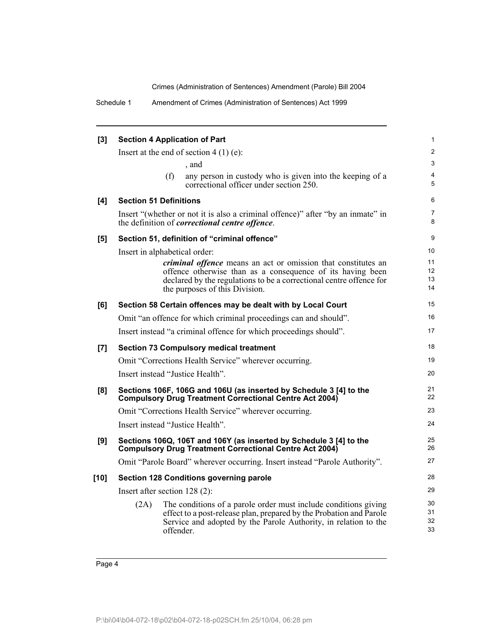Schedule 1 Amendment of Crimes (Administration of Sentences) Act 1999

| [3]    | <b>Section 4 Application of Part</b>                                                                                                                                                                                                        | $\mathbf{1}$         |
|--------|---------------------------------------------------------------------------------------------------------------------------------------------------------------------------------------------------------------------------------------------|----------------------|
|        | Insert at the end of section $4(1)(e)$ :                                                                                                                                                                                                    | 2                    |
|        | , and                                                                                                                                                                                                                                       | 3                    |
|        | (f)<br>any person in custody who is given into the keeping of a<br>correctional officer under section 250.                                                                                                                                  | 4<br>5               |
| [4]    | <b>Section 51 Definitions</b>                                                                                                                                                                                                               | 6                    |
|        | Insert "(whether or not it is also a criminal offence)" after "by an inmate" in<br>the definition of <i>correctional centre offence</i> .                                                                                                   | 7<br>8               |
| [5]    | Section 51, definition of "criminal offence"                                                                                                                                                                                                | 9                    |
|        | Insert in alphabetical order:                                                                                                                                                                                                               | 10                   |
|        | <i>criminal offence</i> means an act or omission that constitutes an<br>offence otherwise than as a consequence of its having been<br>declared by the regulations to be a correctional centre offence for<br>the purposes of this Division. | 11<br>12<br>13<br>14 |
| [6]    | Section 58 Certain offences may be dealt with by Local Court                                                                                                                                                                                | 15                   |
|        | Omit "an offence for which criminal proceedings can and should".                                                                                                                                                                            | 16                   |
|        | Insert instead "a criminal offence for which proceedings should".                                                                                                                                                                           | 17                   |
| [7]    | <b>Section 73 Compulsory medical treatment</b>                                                                                                                                                                                              | 18                   |
|        | Omit "Corrections Health Service" wherever occurring.                                                                                                                                                                                       | 19                   |
|        | Insert instead "Justice Health".                                                                                                                                                                                                            | 20                   |
| [8]    | Sections 106F, 106G and 106U (as inserted by Schedule 3 [4] to the<br>Compulsory Drug Treatment Correctional Centre Act 2004)                                                                                                               | 21<br>22             |
|        | Omit "Corrections Health Service" wherever occurring.                                                                                                                                                                                       | 23                   |
|        | Insert instead "Justice Health".                                                                                                                                                                                                            | 24                   |
| [9]    | Sections 106Q, 106T and 106Y (as inserted by Schedule 3 [4] to the<br>Compulsory Drug Treatment Correctional Centre Act 2004)                                                                                                               | 25<br>26             |
|        | Omit "Parole Board" wherever occurring. Insert instead "Parole Authority".                                                                                                                                                                  | 27                   |
| $[10]$ | Section 128 Conditions governing parole                                                                                                                                                                                                     | 28                   |
|        | Insert after section $128(2)$ :                                                                                                                                                                                                             | 29                   |
|        | The conditions of a parole order must include conditions giving<br>(2A)<br>effect to a post-release plan, prepared by the Probation and Parole<br>Service and adopted by the Parole Authority, in relation to the<br>offender.              | 30<br>31<br>32<br>33 |
|        |                                                                                                                                                                                                                                             |                      |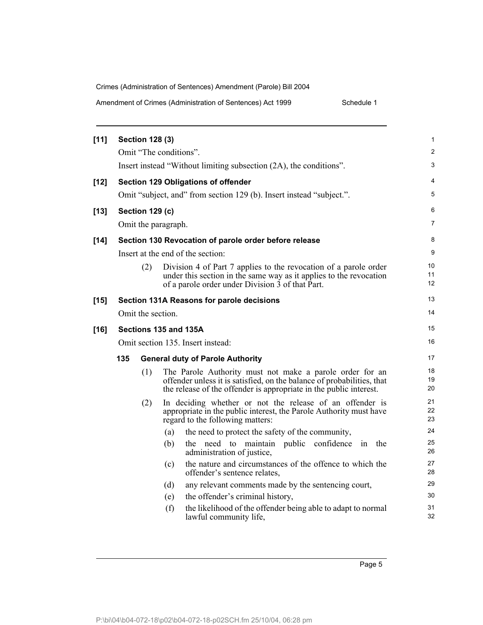| Amendment of Crimes (Administration of Sentences) Act 1999 | Schedule 1 |
|------------------------------------------------------------|------------|
|------------------------------------------------------------|------------|

| $[11]$ |                                   | <b>Section 128 (3)</b> |                        |                                                                                                                                                                                                          | 1              |
|--------|-----------------------------------|------------------------|------------------------|----------------------------------------------------------------------------------------------------------------------------------------------------------------------------------------------------------|----------------|
|        |                                   |                        | Omit "The conditions". |                                                                                                                                                                                                          | $\overline{2}$ |
|        |                                   |                        |                        | Insert instead "Without limiting subsection (2A), the conditions".                                                                                                                                       | 3              |
| $[12]$ |                                   |                        |                        | <b>Section 129 Obligations of offender</b>                                                                                                                                                               | 4              |
|        |                                   |                        |                        | Omit "subject, and" from section 129 (b). Insert instead "subject.".                                                                                                                                     | 5              |
| $[13]$ |                                   | Section 129 (c)        |                        |                                                                                                                                                                                                          | 6              |
|        |                                   |                        | Omit the paragraph.    |                                                                                                                                                                                                          | 7              |
| $[14]$ |                                   |                        |                        | Section 130 Revocation of parole order before release                                                                                                                                                    | 8              |
|        |                                   |                        |                        | Insert at the end of the section:                                                                                                                                                                        | 9              |
|        |                                   | (2)                    |                        | Division 4 of Part 7 applies to the revocation of a parole order<br>under this section in the same way as it applies to the revocation<br>of a parole order under Division $\tilde{3}$ of that Part.     | 10<br>11<br>12 |
| $[15]$ |                                   |                        |                        | Section 131A Reasons for parole decisions                                                                                                                                                                | 13             |
|        |                                   | Omit the section.      |                        |                                                                                                                                                                                                          | 14             |
| $[16]$ |                                   |                        | Sections 135 and 135A  |                                                                                                                                                                                                          | 15             |
|        | Omit section 135. Insert instead: |                        |                        |                                                                                                                                                                                                          | 16             |
|        | 135                               |                        |                        | <b>General duty of Parole Authority</b>                                                                                                                                                                  | 17             |
|        |                                   | (1)                    |                        | The Parole Authority must not make a parole order for an<br>offender unless it is satisfied, on the balance of probabilities, that<br>the release of the offender is appropriate in the public interest. | 18<br>19<br>20 |
|        |                                   | (2)                    |                        | In deciding whether or not the release of an offender is<br>appropriate in the public interest, the Parole Authority must have<br>regard to the following matters:                                       | 21<br>22<br>23 |
|        |                                   |                        | (a)                    | the need to protect the safety of the community,                                                                                                                                                         | 24             |
|        |                                   |                        | (b)                    | the need to maintain public confidence<br>the<br>in<br>administration of justice,                                                                                                                        | 25<br>26       |
|        |                                   |                        | (c)                    | the nature and circumstances of the offence to which the<br>offender's sentence relates,                                                                                                                 | 27<br>28       |
|        |                                   |                        | (d)                    | any relevant comments made by the sentencing court,                                                                                                                                                      | 29             |
|        |                                   |                        | (e)                    | the offender's criminal history,                                                                                                                                                                         | 30             |
|        |                                   |                        | (f)                    | the likelihood of the offender being able to adapt to normal<br>lawful community life,                                                                                                                   | 31<br>32       |
|        |                                   |                        |                        |                                                                                                                                                                                                          |                |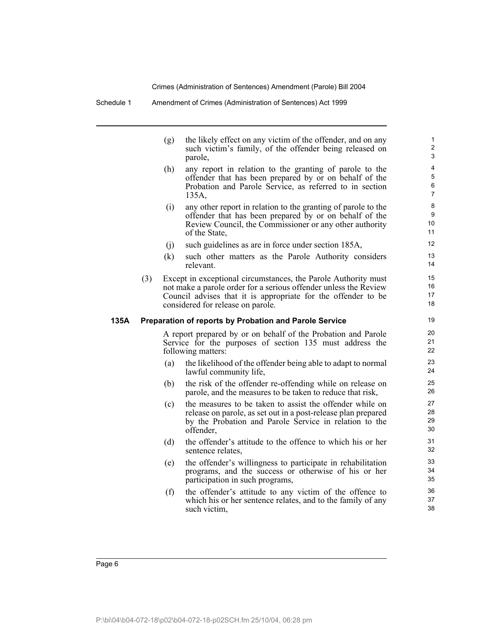| (g) | the likely effect on any victim of the offender, and on any |
|-----|-------------------------------------------------------------|
|     | such victim's family, of the offender being released on     |
|     | parole,                                                     |

- (h) any report in relation to the granting of parole to the offender that has been prepared by or on behalf of the Probation and Parole Service, as referred to in section 135A,
- (i) any other report in relation to the granting of parole to the offender that has been prepared by or on behalf of the Review Council, the Commissioner or any other authority of the State,
- (j) such guidelines as are in force under section 185A,
- (k) such other matters as the Parole Authority considers relevant.
- (3) Except in exceptional circumstances, the Parole Authority must not make a parole order for a serious offender unless the Review Council advises that it is appropriate for the offender to be considered for release on parole.

#### **135A Preparation of reports by Probation and Parole Service**

A report prepared by or on behalf of the Probation and Parole Service for the purposes of section 135 must address the following matters:

- (a) the likelihood of the offender being able to adapt to normal lawful community life,
- (b) the risk of the offender re-offending while on release on parole, and the measures to be taken to reduce that risk,
- (c) the measures to be taken to assist the offender while on release on parole, as set out in a post-release plan prepared by the Probation and Parole Service in relation to the offender,
- (d) the offender's attitude to the offence to which his or her sentence relates,
- (e) the offender's willingness to participate in rehabilitation programs, and the success or otherwise of his or her participation in such programs,
- (f) the offender's attitude to any victim of the offence to which his or her sentence relates, and to the family of any such victim,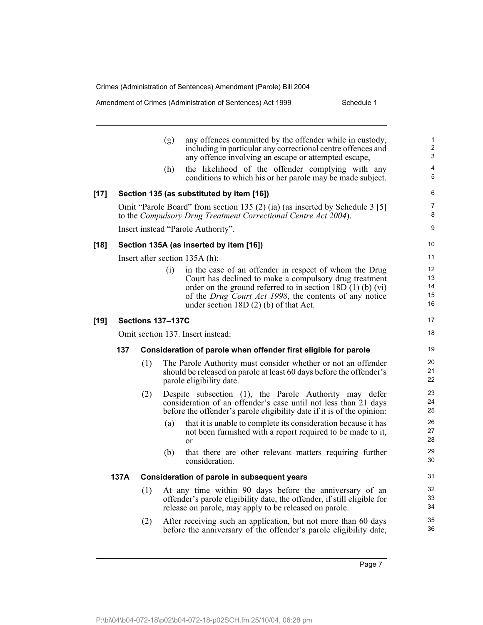|        |      |     |                          | Amendment of Crimes (Administration of Sentences) Act 1999<br>Schedule 1                                                                                                                                                                                                                      |  |
|--------|------|-----|--------------------------|-----------------------------------------------------------------------------------------------------------------------------------------------------------------------------------------------------------------------------------------------------------------------------------------------|--|
|        |      |     | (g)                      | any offences committed by the offender while in custody,<br>including in particular any correctional centre offences and<br>any offence involving an escape or attempted escape,                                                                                                              |  |
|        |      |     | (h)                      | the likelihood of the offender complying with any<br>conditions to which his or her parole may be made subject.                                                                                                                                                                               |  |
| $[17]$ |      |     |                          | Section 135 (as substituted by item [16])                                                                                                                                                                                                                                                     |  |
|        |      |     |                          | Omit "Parole Board" from section 135 (2) (ia) (as inserted by Schedule 3 [5]<br>to the Compulsory Drug Treatment Correctional Centre Act 2004).                                                                                                                                               |  |
|        |      |     |                          | Insert instead "Parole Authority".                                                                                                                                                                                                                                                            |  |
| $[18]$ |      |     |                          | Section 135A (as inserted by item [16])                                                                                                                                                                                                                                                       |  |
|        |      |     |                          | Insert after section 135A (h):                                                                                                                                                                                                                                                                |  |
|        |      |     | (i)                      | in the case of an offender in respect of whom the Drug<br>Court has declined to make a compulsory drug treatment<br>order on the ground referred to in section $18D(1)$ (b) (vi)<br>of the <i>Drug Court Act 1998</i> , the contents of any notice<br>under section $18D(2)$ (b) of that Act. |  |
| $[19]$ |      |     | <b>Sections 137-137C</b> |                                                                                                                                                                                                                                                                                               |  |
|        |      |     |                          | Omit section 137. Insert instead:                                                                                                                                                                                                                                                             |  |
|        | 137  |     |                          | Consideration of parole when offender first eligible for parole                                                                                                                                                                                                                               |  |
|        |      | (1) |                          | The Parole Authority must consider whether or not an offender<br>should be released on parole at least 60 days before the offender's<br>parole eligibility date.                                                                                                                              |  |
|        |      | (2) |                          | Despite subsection (1), the Parole Authority may defer<br>consideration of an offender's case until not less than 21 days<br>before the offender's parole eligibility date if it is of the opinion:                                                                                           |  |
|        |      |     | (a)                      | that it is unable to complete its consideration because it has<br>not been furnished with a report required to be made to it,<br>or                                                                                                                                                           |  |
|        |      |     | (b)                      | that there are other relevant matters requiring further<br>consideration.                                                                                                                                                                                                                     |  |
|        | 137A |     |                          | Consideration of parole in subsequent years                                                                                                                                                                                                                                                   |  |
|        |      | (1) |                          | At any time within 90 days before the anniversary of an<br>offender's parole eligibility date, the offender, if still eligible for<br>release on parole, may apply to be released on parole.                                                                                                  |  |
|        |      | (2) |                          | After receiving such an application, but not more than 60 days<br>before the anniversary of the offender's parole eligibility date,                                                                                                                                                           |  |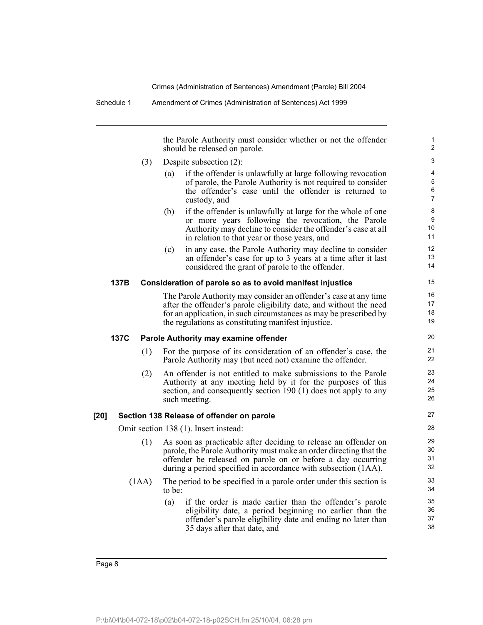Schedule 1 Amendment of Crimes (Administration of Sentences) Act 1999

the Parole Authority must consider whether or not the offender should be released on parole.

- (3) Despite subsection (2):
	- (a) if the offender is unlawfully at large following revocation of parole, the Parole Authority is not required to consider the offender's case until the offender is returned to custody, and
	- (b) if the offender is unlawfully at large for the whole of one or more years following the revocation, the Parole Authority may decline to consider the offender's case at all in relation to that year or those years, and
	- (c) in any case, the Parole Authority may decline to consider an offender's case for up to 3 years at a time after it last considered the grant of parole to the offender.

#### **137B Consideration of parole so as to avoid manifest injustice**

The Parole Authority may consider an offender's case at any time after the offender's parole eligibility date, and without the need for an application, in such circumstances as may be prescribed by the regulations as constituting manifest injustice.

#### **137C Parole Authority may examine offender**

- (1) For the purpose of its consideration of an offender's case, the Parole Authority may (but need not) examine the offender.
- (2) An offender is not entitled to make submissions to the Parole Authority at any meeting held by it for the purposes of this section, and consequently section 190 (1) does not apply to any such meeting.

#### **[20] Section 138 Release of offender on parole**

Omit section 138 (1). Insert instead:

- (1) As soon as practicable after deciding to release an offender on parole, the Parole Authority must make an order directing that the offender be released on parole on or before a day occurring during a period specified in accordance with subsection (1AA).
- (1AA) The period to be specified in a parole order under this section is to be:
	- (a) if the order is made earlier than the offender's parole eligibility date, a period beginning no earlier than the offender's parole eligibility date and ending no later than 35 days after that date, and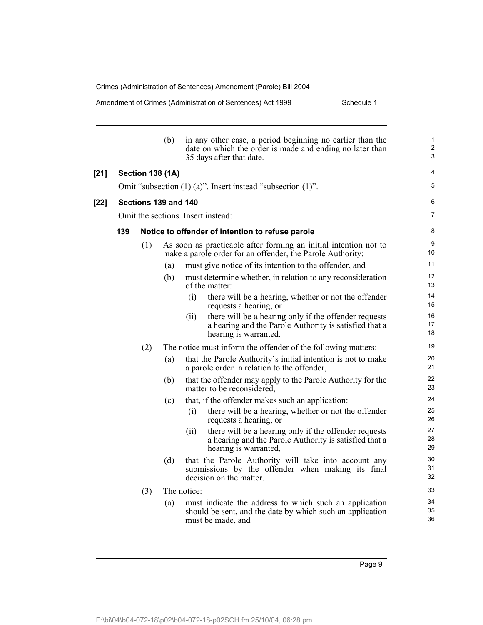| Amendment of Crimes (Administration of Sentences) Act 1999 |  |  |  | Schedule 1 |
|------------------------------------------------------------|--|--|--|------------|
|------------------------------------------------------------|--|--|--|------------|

|        |     |                         | (b) | in any other case, a period beginning no earlier than the<br>date on which the order is made and ending no later than<br>35 days after that date. | 1<br>$\overline{\mathbf{c}}$<br>3 |
|--------|-----|-------------------------|-----|---------------------------------------------------------------------------------------------------------------------------------------------------|-----------------------------------|
| $[21]$ |     | <b>Section 138 (1A)</b> |     |                                                                                                                                                   | 4                                 |
|        |     |                         |     | Omit "subsection $(1)$ $(a)$ ". Insert instead "subsection $(1)$ ".                                                                               | 5                                 |
| $[22]$ |     | Sections 139 and 140    |     |                                                                                                                                                   | 6                                 |
|        |     |                         |     | Omit the sections. Insert instead:                                                                                                                | 7                                 |
|        | 139 |                         |     | Notice to offender of intention to refuse parole                                                                                                  | 8                                 |
|        |     | (1)                     |     | As soon as practicable after forming an initial intention not to<br>make a parole order for an offender, the Parole Authority:                    | 9<br>10                           |
|        |     |                         | (a) | must give notice of its intention to the offender, and                                                                                            | 11                                |
|        |     |                         | (b) | must determine whether, in relation to any reconsideration<br>of the matter:                                                                      | 12<br>13                          |
|        |     |                         |     | (i)<br>there will be a hearing, whether or not the offender<br>requests a hearing, or                                                             | 14<br>15                          |
|        |     |                         |     | there will be a hearing only if the offender requests<br>(i)<br>a hearing and the Parole Authority is satisfied that a<br>hearing is warranted.   | 16<br>17<br>18                    |
|        |     | (2)                     |     | The notice must inform the offender of the following matters:                                                                                     | 19                                |
|        |     |                         | (a) | that the Parole Authority's initial intention is not to make<br>a parole order in relation to the offender,                                       | 20<br>21                          |
|        |     |                         | (b) | that the offender may apply to the Parole Authority for the<br>matter to be reconsidered,                                                         | 22<br>23                          |
|        |     |                         | (c) | that, if the offender makes such an application:                                                                                                  | 24                                |
|        |     |                         |     | (i)<br>there will be a hearing, whether or not the offender<br>requests a hearing, or                                                             | 25<br>26                          |
|        |     |                         |     | there will be a hearing only if the offender requests<br>(ii)<br>a hearing and the Parole Authority is satisfied that a<br>hearing is warranted,  | 27<br>28<br>29                    |
|        |     |                         | (d) | that the Parole Authority will take into account any<br>submissions by the offender when making its final<br>decision on the matter.              | 30<br>31<br>32                    |
|        |     | (3)                     |     | The notice:                                                                                                                                       | 33                                |
|        |     |                         | (a) | must indicate the address to which such an application<br>should be sent, and the date by which such an application<br>must be made, and          | 34<br>35<br>36                    |
|        |     |                         |     |                                                                                                                                                   |                                   |

Page 9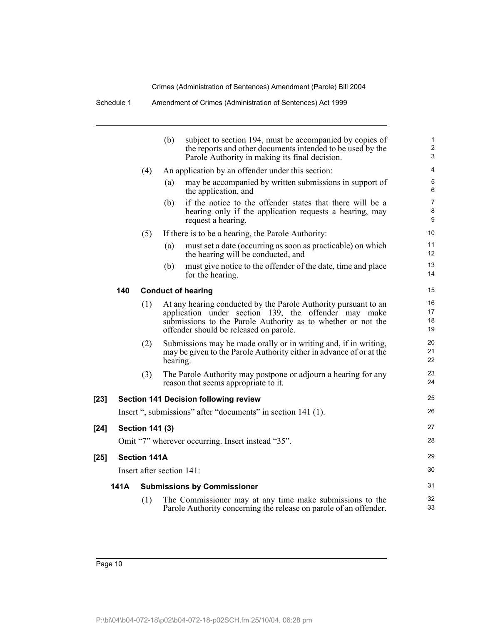Schedule 1 Amendment of Crimes (Administration of Sentences) Act 1999

|        |      |                        | (b)<br>subject to section 194, must be accompanied by copies of<br>the reports and other documents intended to be used by the<br>Parole Authority in making its final decision.                                                   | 1<br>$\overline{2}$<br>3 |
|--------|------|------------------------|-----------------------------------------------------------------------------------------------------------------------------------------------------------------------------------------------------------------------------------|--------------------------|
|        |      | (4)                    | An application by an offender under this section:                                                                                                                                                                                 | 4                        |
|        |      |                        | may be accompanied by written submissions in support of<br>(a)<br>the application, and                                                                                                                                            | 5<br>6                   |
|        |      |                        | if the notice to the offender states that there will be a<br>(b)<br>hearing only if the application requests a hearing, may<br>request a hearing.                                                                                 | $\overline{7}$<br>8<br>9 |
|        |      | (5)                    | If there is to be a hearing, the Parole Authority:                                                                                                                                                                                | 10                       |
|        |      |                        | must set a date (occurring as soon as practicable) on which<br>(a)<br>the hearing will be conducted, and                                                                                                                          | 11<br>12                 |
|        |      |                        | must give notice to the offender of the date, time and place<br>(b)<br>for the hearing.                                                                                                                                           | 13<br>14                 |
|        | 140  |                        | <b>Conduct of hearing</b>                                                                                                                                                                                                         | 15                       |
|        |      | (1)                    | At any hearing conducted by the Parole Authority pursuant to an<br>application under section 139, the offender may make<br>submissions to the Parole Authority as to whether or not the<br>offender should be released on parole. | 16<br>17<br>18<br>19     |
|        |      | (2)                    | Submissions may be made orally or in writing and, if in writing,<br>may be given to the Parole Authority either in advance of or at the<br>hearing.                                                                               | 20<br>21<br>22           |
|        |      | (3)                    | The Parole Authority may postpone or adjourn a hearing for any<br>reason that seems appropriate to it.                                                                                                                            | 23<br>24                 |
| $[23]$ |      |                        | <b>Section 141 Decision following review</b>                                                                                                                                                                                      | 25                       |
|        |      |                        | Insert ", submissions" after "documents" in section 141 (1).                                                                                                                                                                      | 26                       |
| [24]   |      | <b>Section 141 (3)</b> |                                                                                                                                                                                                                                   | 27                       |
|        |      |                        | Omit "7" wherever occurring. Insert instead "35".                                                                                                                                                                                 | 28                       |
| $[25]$ |      | <b>Section 141A</b>    |                                                                                                                                                                                                                                   | 29                       |
|        |      |                        | Insert after section 141:                                                                                                                                                                                                         | 30                       |
|        | 141A |                        | <b>Submissions by Commissioner</b>                                                                                                                                                                                                | 31                       |
|        |      | (1)                    | The Commissioner may at any time make submissions to the<br>Parole Authority concerning the release on parole of an offender.                                                                                                     | 32<br>33                 |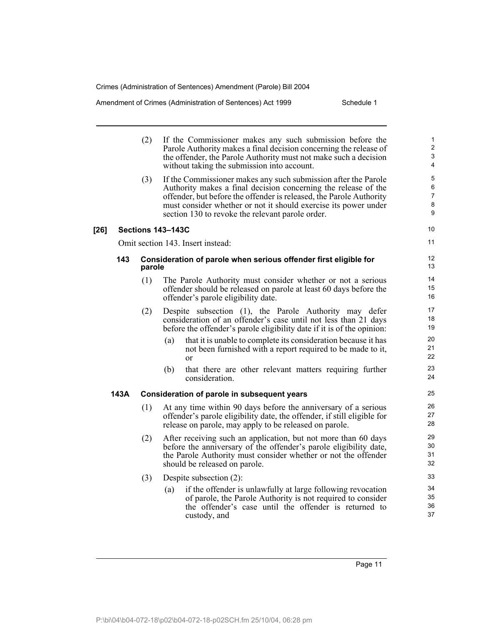Amendment of Crimes (Administration of Sentences) Act 1999 Schedule 1

|        |      | (2)    | If the Commissioner makes any such submission before the<br>Parole Authority makes a final decision concerning the release of<br>the offender, the Parole Authority must not make such a decision<br>without taking the submission into account.                                                                               | 1<br>$\overline{2}$<br>$\ensuremath{\mathsf{3}}$<br>4 |
|--------|------|--------|--------------------------------------------------------------------------------------------------------------------------------------------------------------------------------------------------------------------------------------------------------------------------------------------------------------------------------|-------------------------------------------------------|
|        |      | (3)    | If the Commissioner makes any such submission after the Parole<br>Authority makes a final decision concerning the release of the<br>offender, but before the offender is released, the Parole Authority<br>must consider whether or not it should exercise its power under<br>section 130 to revoke the relevant parole order. | 5<br>6<br>$\overline{7}$<br>$\bf 8$<br>9              |
| $[26]$ |      |        | <b>Sections 143-143C</b>                                                                                                                                                                                                                                                                                                       | 10                                                    |
|        |      |        | Omit section 143. Insert instead:                                                                                                                                                                                                                                                                                              | 11                                                    |
|        | 143  | parole | Consideration of parole when serious offender first eligible for                                                                                                                                                                                                                                                               | 12<br>13                                              |
|        |      | (1)    | The Parole Authority must consider whether or not a serious<br>offender should be released on parole at least 60 days before the<br>offender's parole eligibility date.                                                                                                                                                        | 14<br>15<br>16                                        |
|        |      | (2)    | Despite subsection (1), the Parole Authority may defer<br>consideration of an offender's case until not less than 21 days<br>before the offender's parole eligibility date if it is of the opinion:                                                                                                                            | 17<br>18<br>19                                        |
|        |      |        | that it is unable to complete its consideration because it has<br>(a)<br>not been furnished with a report required to be made to it,<br>$\alpha$                                                                                                                                                                               | 20<br>21<br>22                                        |
|        |      |        | (b)<br>that there are other relevant matters requiring further<br>consideration.                                                                                                                                                                                                                                               | 23<br>24                                              |
|        | 143A |        | Consideration of parole in subsequent years                                                                                                                                                                                                                                                                                    | 25                                                    |
|        |      | (1)    | At any time within 90 days before the anniversary of a serious<br>offender's parole eligibility date, the offender, if still eligible for<br>release on parole, may apply to be released on parole.                                                                                                                            | 26<br>27<br>28                                        |
|        |      | (2)    | After receiving such an application, but not more than 60 days<br>before the anniversary of the offender's parole eligibility date,<br>the Parole Authority must consider whether or not the offender<br>should be released on parole.                                                                                         | 29<br>30<br>31<br>32                                  |
|        |      | (3)    | Despite subsection $(2)$ :                                                                                                                                                                                                                                                                                                     | 33                                                    |
|        |      |        | if the offender is unlawfully at large following revocation<br>(a)<br>of parole, the Parole Authority is not required to consider<br>the offender's case until the offender is returned to<br>custody, and                                                                                                                     | 34<br>35<br>36<br>37                                  |
|        |      |        |                                                                                                                                                                                                                                                                                                                                |                                                       |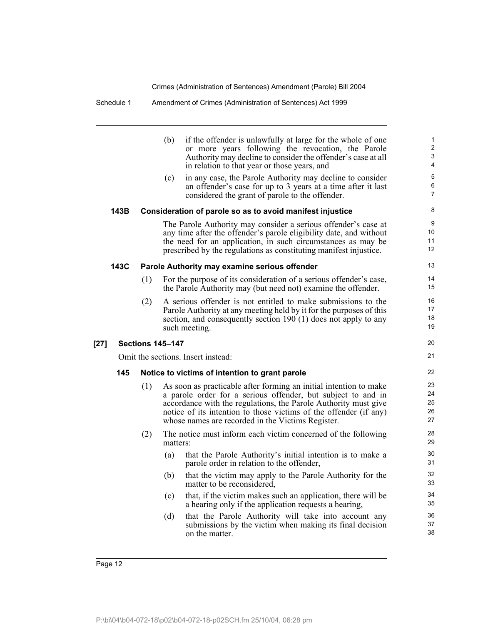#### Schedule 1 Amendment of Crimes (Administration of Sentences) Act 1999

|      |     | (b)<br>if the offender is unlawfully at large for the whole of one<br>or more years following the revocation, the Parole<br>Authority may decline to consider the offender's case at all<br>in relation to that year or those years, and<br>in any case, the Parole Authority may decline to consider<br>(c)<br>an offender's case for up to 3 years at a time after it last<br>considered the grant of parole to the offender. | 1<br>$\overline{c}$<br>3<br>4<br>5<br>6<br>7 |
|------|-----|---------------------------------------------------------------------------------------------------------------------------------------------------------------------------------------------------------------------------------------------------------------------------------------------------------------------------------------------------------------------------------------------------------------------------------|----------------------------------------------|
| 143B |     | Consideration of parole so as to avoid manifest injustice                                                                                                                                                                                                                                                                                                                                                                       | 8                                            |
|      |     | The Parole Authority may consider a serious offender's case at<br>any time after the offender's parole eligibility date, and without<br>the need for an application, in such circumstances as may be<br>prescribed by the regulations as constituting manifest injustice.                                                                                                                                                       | 9<br>10<br>11<br>12                          |
| 143C |     | Parole Authority may examine serious offender                                                                                                                                                                                                                                                                                                                                                                                   | 13                                           |
|      | (1) | For the purpose of its consideration of a serious offender's case,<br>the Parole Authority may (but need not) examine the offender.                                                                                                                                                                                                                                                                                             | 14<br>15                                     |
|      | (2) | A serious offender is not entitled to make submissions to the<br>Parole Authority at any meeting held by it for the purposes of this<br>section, and consequently section 190 (1) does not apply to any<br>such meeting.                                                                                                                                                                                                        | 16<br>17<br>18<br>19                         |
|      |     | <b>Sections 145-147</b>                                                                                                                                                                                                                                                                                                                                                                                                         | 20                                           |
|      |     | Omit the sections. Insert instead:                                                                                                                                                                                                                                                                                                                                                                                              | 21                                           |
| 145  |     | Notice to victims of intention to grant parole                                                                                                                                                                                                                                                                                                                                                                                  | 22                                           |
|      | (1) | As soon as practicable after forming an initial intention to make<br>a parole order for a serious offender, but subject to and in<br>accordance with the regulations, the Parole Authority must give<br>notice of its intention to those victims of the offender (if any)<br>whose names are recorded in the Victims Register.                                                                                                  | 23<br>24<br>25<br>26<br>27                   |
|      | (2) | The notice must inform each victim concerned of the following<br>matters:                                                                                                                                                                                                                                                                                                                                                       | 28<br>29                                     |
|      |     | that the Parole Authority's initial intention is to make a<br>(a)<br>parole order in relation to the offender,                                                                                                                                                                                                                                                                                                                  | 30<br>31                                     |
|      |     | that the victim may apply to the Parole Authority for the<br>(b)<br>matter to be reconsidered,                                                                                                                                                                                                                                                                                                                                  | 32<br>33                                     |
|      |     | that, if the victim makes such an application, there will be<br>(c)<br>a hearing only if the application requests a hearing,                                                                                                                                                                                                                                                                                                    | 34<br>35                                     |
|      |     | that the Parole Authority will take into account any<br>(d)<br>submissions by the victim when making its final decision<br>on the matter.                                                                                                                                                                                                                                                                                       | 36<br>37<br>38                               |
|      |     |                                                                                                                                                                                                                                                                                                                                                                                                                                 |                                              |

[27]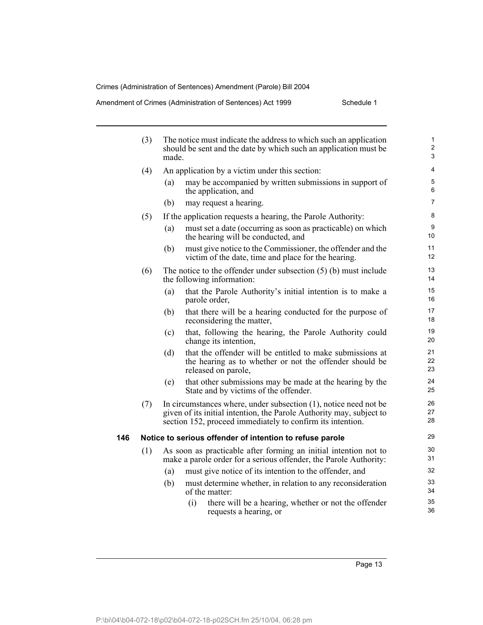Amendment of Crimes (Administration of Sentences) Act 1999 Schedule 1

|     | (3) | The notice must indicate the address to which such an application<br>should be sent and the date by which such an application must be<br>made.                                                            |                                                |                                                                                                                                       |                |  |  |  |  |  |
|-----|-----|-----------------------------------------------------------------------------------------------------------------------------------------------------------------------------------------------------------|------------------------------------------------|---------------------------------------------------------------------------------------------------------------------------------------|----------------|--|--|--|--|--|
|     | (4) |                                                                                                                                                                                                           | An application by a victim under this section: |                                                                                                                                       |                |  |  |  |  |  |
|     |     | (a)                                                                                                                                                                                                       | the application, and                           | may be accompanied by written submissions in support of                                                                               | 5<br>6         |  |  |  |  |  |
|     |     | (b)                                                                                                                                                                                                       | may request a hearing.                         |                                                                                                                                       | 7              |  |  |  |  |  |
|     | (5) |                                                                                                                                                                                                           |                                                | If the application requests a hearing, the Parole Authority:                                                                          | 8              |  |  |  |  |  |
|     |     | (a)                                                                                                                                                                                                       |                                                | must set a date (occurring as soon as practicable) on which<br>the hearing will be conducted, and                                     | 9<br>10        |  |  |  |  |  |
|     |     | (b)                                                                                                                                                                                                       |                                                | must give notice to the Commissioner, the offender and the<br>victim of the date, time and place for the hearing.                     | 11<br>12       |  |  |  |  |  |
|     | (6) |                                                                                                                                                                                                           | the following information:                     | The notice to the offender under subsection $(5)$ (b) must include                                                                    | 13<br>14       |  |  |  |  |  |
|     |     | (a)                                                                                                                                                                                                       | parole order,                                  | that the Parole Authority's initial intention is to make a                                                                            | 15<br>16       |  |  |  |  |  |
|     |     | (b)                                                                                                                                                                                                       |                                                | that there will be a hearing conducted for the purpose of<br>reconsidering the matter,                                                | 17<br>18       |  |  |  |  |  |
|     |     | (c)                                                                                                                                                                                                       | change its intention,                          | that, following the hearing, the Parole Authority could                                                                               | 19<br>20       |  |  |  |  |  |
|     |     | (d)                                                                                                                                                                                                       | released on parole,                            | that the offender will be entitled to make submissions at<br>the hearing as to whether or not the offender should be                  | 21<br>22<br>23 |  |  |  |  |  |
|     |     | (e)                                                                                                                                                                                                       |                                                | that other submissions may be made at the hearing by the<br>State and by victims of the offender.                                     | 24<br>25       |  |  |  |  |  |
|     | (7) | In circumstances where, under subsection $(1)$ , notice need not be<br>given of its initial intention, the Parole Authority may, subject to<br>section 152, proceed immediately to confirm its intention. |                                                |                                                                                                                                       |                |  |  |  |  |  |
| 146 |     |                                                                                                                                                                                                           |                                                | Notice to serious offender of intention to refuse parole                                                                              | 29             |  |  |  |  |  |
|     | (1) |                                                                                                                                                                                                           |                                                | As soon as practicable after forming an initial intention not to<br>make a parole order for a serious offender, the Parole Authority: | 30<br>31       |  |  |  |  |  |
|     |     | (a)                                                                                                                                                                                                       |                                                | must give notice of its intention to the offender, and                                                                                | 32             |  |  |  |  |  |
|     |     | (b)                                                                                                                                                                                                       | of the matter:                                 | must determine whether, in relation to any reconsideration                                                                            | 33<br>34       |  |  |  |  |  |
|     |     |                                                                                                                                                                                                           | (i)                                            | there will be a hearing, whether or not the offender<br>requests a hearing, or                                                        | 35<br>36       |  |  |  |  |  |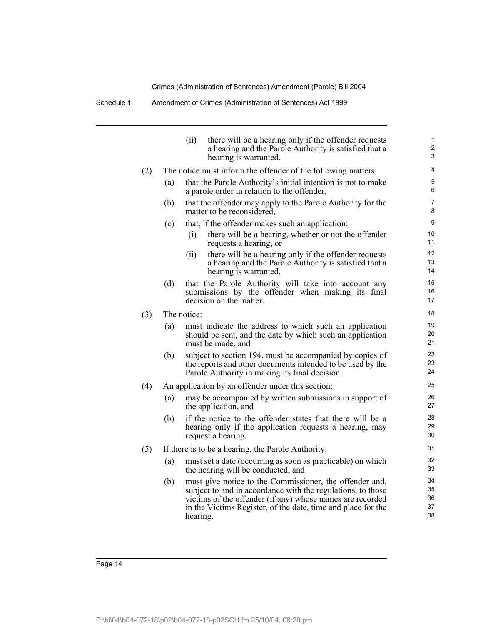|     |     | there will be a hearing only if the offender requests<br>(ii)<br>a hearing and the Parole Authority is satisfied that a<br>hearing is warranted.                                                                                                                | 1<br>$\overline{c}$<br>3   |
|-----|-----|-----------------------------------------------------------------------------------------------------------------------------------------------------------------------------------------------------------------------------------------------------------------|----------------------------|
| (2) |     | The notice must inform the offender of the following matters:                                                                                                                                                                                                   | 4                          |
|     | (a) | that the Parole Authority's initial intention is not to make<br>a parole order in relation to the offender,                                                                                                                                                     | 5<br>6                     |
|     | (b) | that the offender may apply to the Parole Authority for the<br>matter to be reconsidered,                                                                                                                                                                       | 7<br>8                     |
|     | (c) | that, if the offender makes such an application:<br>there will be a hearing, whether or not the offender<br>(i)<br>requests a hearing, or                                                                                                                       | 9<br>10<br>11              |
|     |     | there will be a hearing only if the offender requests<br>(ii)<br>a hearing and the Parole Authority is satisfied that a<br>hearing is warranted,                                                                                                                | 12<br>13<br>14             |
|     | (d) | that the Parole Authority will take into account any<br>submissions by the offender when making its final<br>decision on the matter.                                                                                                                            | 15<br>16<br>17             |
| (3) |     | The notice:                                                                                                                                                                                                                                                     | 18                         |
|     | (a) | must indicate the address to which such an application<br>should be sent, and the date by which such an application<br>must be made, and                                                                                                                        | 19<br>20<br>21             |
|     | (b) | subject to section 194, must be accompanied by copies of<br>the reports and other documents intended to be used by the<br>Parole Authority in making its final decision.                                                                                        | 22<br>23<br>24             |
| (4) |     | An application by an offender under this section:                                                                                                                                                                                                               | 25                         |
|     | (a) | may be accompanied by written submissions in support of<br>the application, and                                                                                                                                                                                 | 26<br>27                   |
|     | (b) | if the notice to the offender states that there will be a<br>hearing only if the application requests a hearing, may<br>request a hearing.                                                                                                                      | 28<br>29<br>30             |
| (5) |     | If there is to be a hearing, the Parole Authority:                                                                                                                                                                                                              | 31                         |
|     | (a) | must set a date (occurring as soon as practicable) on which<br>the hearing will be conducted, and                                                                                                                                                               | 32<br>33                   |
|     | (b) | must give notice to the Commissioner, the offender and,<br>subject to and in accordance with the regulations, to those<br>victims of the offender (if any) whose names are recorded<br>in the Victims Register, of the date, time and place for the<br>hearing. | 34<br>35<br>36<br>37<br>38 |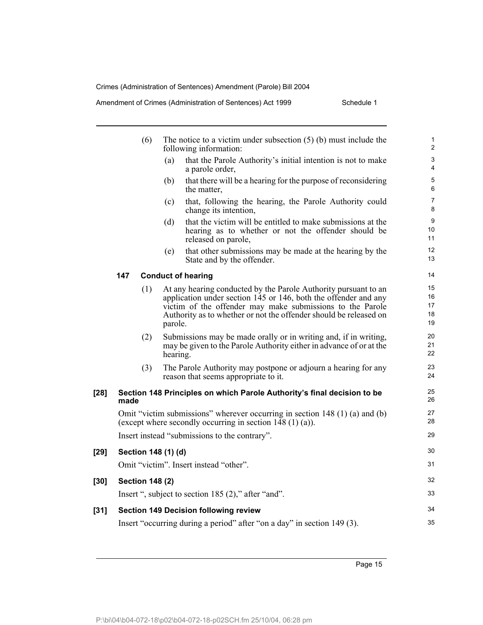Amendment of Crimes (Administration of Sentences) Act 1999 Schedule 1

|      |      | (6)                    |          | The notice to a victim under subsection $(5)$ (b) must include the<br>following information:                                                                                                                                                                         | 1<br>$\overline{c}$          |
|------|------|------------------------|----------|----------------------------------------------------------------------------------------------------------------------------------------------------------------------------------------------------------------------------------------------------------------------|------------------------------|
|      |      |                        | (a)      | that the Parole Authority's initial intention is not to make<br>a parole order,                                                                                                                                                                                      | 3<br>4                       |
|      |      |                        | (b)      | that there will be a hearing for the purpose of reconsidering<br>the matter,                                                                                                                                                                                         | 5<br>6                       |
|      |      |                        | (c)      | that, following the hearing, the Parole Authority could<br>change its intention,                                                                                                                                                                                     | $\overline{7}$<br>8          |
|      |      |                        | (d)      | that the victim will be entitled to make submissions at the<br>hearing as to whether or not the offender should be<br>released on parole,                                                                                                                            | $\boldsymbol{9}$<br>10<br>11 |
|      |      |                        | (e)      | that other submissions may be made at the hearing by the<br>State and by the offender.                                                                                                                                                                               | 12<br>13                     |
|      | 147  |                        |          | <b>Conduct of hearing</b>                                                                                                                                                                                                                                            | 14                           |
|      |      | (1)                    | parole.  | At any hearing conducted by the Parole Authority pursuant to an<br>application under section 145 or 146, both the offender and any<br>victim of the offender may make submissions to the Parole<br>Authority as to whether or not the offender should be released on | 15<br>16<br>17<br>18<br>19   |
|      |      | (2)                    | hearing. | Submissions may be made orally or in writing and, if in writing,<br>may be given to the Parole Authority either in advance of or at the                                                                                                                              | 20<br>21<br>22               |
|      |      | (3)                    |          | The Parole Authority may postpone or adjourn a hearing for any<br>reason that seems appropriate to it.                                                                                                                                                               | 23<br>24                     |
| [28] | made |                        |          | Section 148 Principles on which Parole Authority's final decision to be                                                                                                                                                                                              | 25<br>26                     |
|      |      |                        |          | Omit "victim submissions" wherever occurring in section 148 (1) (a) and (b)<br>(except where secondly occurring in section $148(1)(a)$ ).                                                                                                                            | 27<br>28                     |
|      |      |                        |          | Insert instead "submissions to the contrary".                                                                                                                                                                                                                        | 29                           |
| [29] |      | Section 148 (1) (d)    |          |                                                                                                                                                                                                                                                                      | 30                           |
|      |      |                        |          | Omit "victim". Insert instead "other".                                                                                                                                                                                                                               | 31                           |
| [30] |      | <b>Section 148 (2)</b> |          |                                                                                                                                                                                                                                                                      | 32                           |
|      |      |                        |          | Insert ", subject to section 185 (2)," after "and".                                                                                                                                                                                                                  | 33                           |
| [31] |      |                        |          | <b>Section 149 Decision following review</b>                                                                                                                                                                                                                         | 34                           |
|      |      |                        |          | Insert "occurring during a period" after "on a day" in section 149 (3).                                                                                                                                                                                              | 35                           |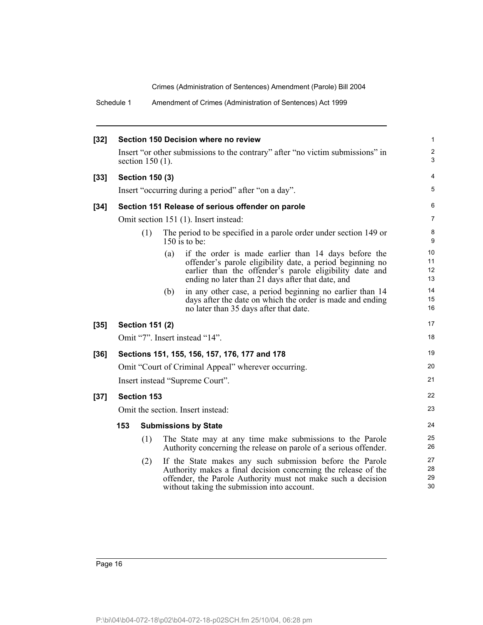Schedule 1 Amendment of Crimes (Administration of Sentences) Act 1999

| $[32]$ | Section 150 Decision where no review                                                                 |                        |     |                                                                                                                                                                                                                                   |                      |  |  |
|--------|------------------------------------------------------------------------------------------------------|------------------------|-----|-----------------------------------------------------------------------------------------------------------------------------------------------------------------------------------------------------------------------------------|----------------------|--|--|
|        | Insert "or other submissions to the contrary" after "no victim submissions" in<br>section $150(1)$ . |                        |     |                                                                                                                                                                                                                                   |                      |  |  |
| $[33]$ |                                                                                                      | <b>Section 150 (3)</b> |     |                                                                                                                                                                                                                                   | 4                    |  |  |
|        |                                                                                                      |                        |     | Insert "occurring during a period" after "on a day".                                                                                                                                                                              | 5                    |  |  |
| $[34]$ |                                                                                                      |                        |     | Section 151 Release of serious offender on parole                                                                                                                                                                                 | 6                    |  |  |
|        |                                                                                                      |                        |     | Omit section 151 (1). Insert instead:                                                                                                                                                                                             | 7                    |  |  |
|        |                                                                                                      | (1)                    |     | The period to be specified in a parole order under section 149 or<br>150 is to be:                                                                                                                                                | 8<br>9               |  |  |
|        |                                                                                                      |                        | (a) | if the order is made earlier than 14 days before the<br>offender's parole eligibility date, a period beginning no<br>earlier than the offender's parole eligibility date and<br>ending no later than 21 days after that date, and | 10<br>11<br>12<br>13 |  |  |
|        |                                                                                                      |                        | (b) | in any other case, a period beginning no earlier than 14<br>days after the date on which the order is made and ending<br>no later than 35 days after that date.                                                                   | 14<br>15<br>16       |  |  |
| $[35]$ |                                                                                                      | <b>Section 151 (2)</b> |     |                                                                                                                                                                                                                                   | 17                   |  |  |
|        |                                                                                                      |                        |     | Omit "7". Insert instead "14".                                                                                                                                                                                                    | 18                   |  |  |
| $[36]$ |                                                                                                      |                        |     | Sections 151, 155, 156, 157, 176, 177 and 178                                                                                                                                                                                     | 19                   |  |  |
|        |                                                                                                      |                        |     | Omit "Court of Criminal Appeal" wherever occurring.                                                                                                                                                                               | 20                   |  |  |
|        | Insert instead "Supreme Court".                                                                      |                        |     |                                                                                                                                                                                                                                   |                      |  |  |
| $[37]$ |                                                                                                      | <b>Section 153</b>     |     |                                                                                                                                                                                                                                   | 22                   |  |  |
|        |                                                                                                      |                        |     | Omit the section. Insert instead:                                                                                                                                                                                                 | 23                   |  |  |
|        | 153                                                                                                  |                        |     | <b>Submissions by State</b>                                                                                                                                                                                                       | 24                   |  |  |
|        |                                                                                                      | (1)                    |     | The State may at any time make submissions to the Parole<br>Authority concerning the release on parole of a serious offender.                                                                                                     | 25<br>26             |  |  |
|        |                                                                                                      | (2)                    |     | If the State makes any such submission before the Parole                                                                                                                                                                          | 27                   |  |  |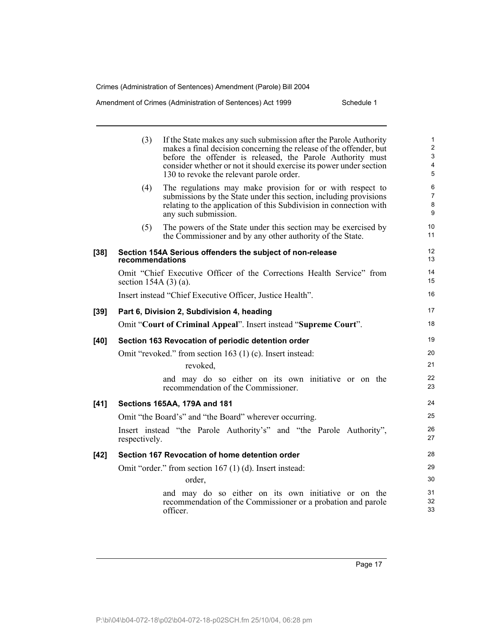Amendment of Crimes (Administration of Sentences) Act 1999 Schedule 1

|        | (3)                     | If the State makes any such submission after the Parole Authority<br>makes a final decision concerning the release of the offender, but<br>before the offender is released, the Parole Authority must<br>consider whether or not it should exercise its power under section<br>130 to revoke the relevant parole order. | $\mathbf{1}$<br>$\overline{2}$<br>3<br>4<br>5 |
|--------|-------------------------|-------------------------------------------------------------------------------------------------------------------------------------------------------------------------------------------------------------------------------------------------------------------------------------------------------------------------|-----------------------------------------------|
|        | (4)                     | The regulations may make provision for or with respect to<br>submissions by the State under this section, including provisions<br>relating to the application of this Subdivision in connection with<br>any such submission.                                                                                            | 6<br>$\overline{7}$<br>8<br>9                 |
|        | (5)                     | The powers of the State under this section may be exercised by<br>the Commissioner and by any other authority of the State.                                                                                                                                                                                             | 10<br>11                                      |
| $[38]$ | recommendations         | Section 154A Serious offenders the subject of non-release                                                                                                                                                                                                                                                               | 12<br>13                                      |
|        | section 154A $(3)(a)$ . | Omit "Chief Executive Officer of the Corrections Health Service" from                                                                                                                                                                                                                                                   | 14<br>15                                      |
|        |                         | Insert instead "Chief Executive Officer, Justice Health".                                                                                                                                                                                                                                                               | 16                                            |
| $[39]$ |                         | Part 6, Division 2, Subdivision 4, heading                                                                                                                                                                                                                                                                              | 17                                            |
|        |                         | Omit "Court of Criminal Appeal". Insert instead "Supreme Court".                                                                                                                                                                                                                                                        | 18                                            |
| [40]   |                         | Section 163 Revocation of periodic detention order                                                                                                                                                                                                                                                                      | 19                                            |
|        |                         | Omit "revoked." from section 163 (1) (c). Insert instead:<br>revoked,                                                                                                                                                                                                                                                   | 20<br>21                                      |
|        |                         | and may do so either on its own initiative or on the<br>recommendation of the Commissioner.                                                                                                                                                                                                                             | 22<br>23                                      |
| $[41]$ |                         | Sections 165AA, 179A and 181                                                                                                                                                                                                                                                                                            | 24                                            |
|        |                         | Omit "the Board's" and "the Board" wherever occurring.                                                                                                                                                                                                                                                                  | 25                                            |
|        | respectively.           | Insert instead "the Parole Authority's" and "the Parole Authority",                                                                                                                                                                                                                                                     | 26<br>27                                      |
| $[42]$ |                         | Section 167 Revocation of home detention order                                                                                                                                                                                                                                                                          | 28                                            |
|        |                         | Omit "order." from section 167 (1) (d). Insert instead:<br>order,                                                                                                                                                                                                                                                       | 29<br>30                                      |
|        |                         | and may do so either on its own initiative or on the<br>recommendation of the Commissioner or a probation and parole<br>officer.                                                                                                                                                                                        | 31<br>32<br>33                                |
|        |                         |                                                                                                                                                                                                                                                                                                                         |                                               |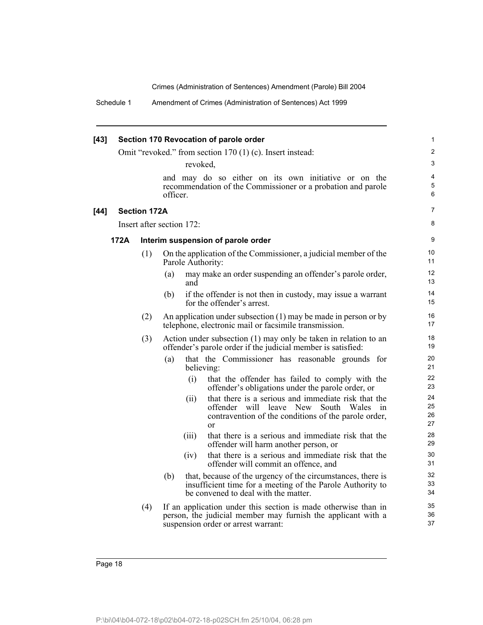Schedule 1 Amendment of Crimes (Administration of Sentences) Act 1999

| $[43]$ |      |                           |          |                   | Section 170 Revocation of parole order                                                                                                                                | $\mathbf{1}$         |
|--------|------|---------------------------|----------|-------------------|-----------------------------------------------------------------------------------------------------------------------------------------------------------------------|----------------------|
|        |      |                           |          |                   | Omit "revoked." from section 170 (1) (c). Insert instead:                                                                                                             | $\overline{c}$       |
|        |      |                           |          | revoked,          |                                                                                                                                                                       | 3                    |
|        |      |                           | officer. |                   | and may do so either on its own initiative or on the<br>recommendation of the Commissioner or a probation and parole                                                  | 4<br>5<br>6          |
| $[44]$ |      | <b>Section 172A</b>       |          |                   |                                                                                                                                                                       | $\overline{7}$       |
|        |      | Insert after section 172: |          |                   |                                                                                                                                                                       | 8                    |
|        | 172A |                           |          |                   | Interim suspension of parole order                                                                                                                                    | 9                    |
|        |      | (1)                       |          | Parole Authority: | On the application of the Commissioner, a judicial member of the                                                                                                      | 10<br>11             |
|        |      |                           | (a)      | and               | may make an order suspending an offender's parole order,                                                                                                              | 12<br>13             |
|        |      |                           | (b)      |                   | if the offender is not then in custody, may issue a warrant<br>for the offender's arrest.                                                                             | 14<br>15             |
|        |      | (2)                       |          |                   | An application under subsection $(1)$ may be made in person or by<br>telephone, electronic mail or facsimile transmission.                                            | 16<br>17             |
|        |      | (3)                       |          |                   | Action under subsection (1) may only be taken in relation to an<br>offender's parole order if the judicial member is satisfied:                                       | 18<br>19             |
|        |      |                           | (a)      | believing:        | that the Commissioner has reasonable grounds for                                                                                                                      | 20<br>21             |
|        |      |                           |          | (i)               | that the offender has failed to comply with the<br>offender's obligations under the parole order, or                                                                  | 22<br>23             |
|        |      |                           |          | (ii)              | that there is a serious and immediate risk that the<br>offender will leave New South Wales in<br>contravention of the conditions of the parole order,<br>$\alpha$     | 24<br>25<br>26<br>27 |
|        |      |                           |          | (iii)             | that there is a serious and immediate risk that the<br>offender will harm another person, or                                                                          | 28<br>29             |
|        |      |                           |          | (iv)              | that there is a serious and immediate risk that the<br>offender will commit an offence, and                                                                           | 30<br>31             |
|        |      |                           | (b)      |                   | that, because of the urgency of the circumstances, there is<br>insufficient time for a meeting of the Parole Authority to<br>be convened to deal with the matter.     | 32<br>33<br>34       |
|        |      | (4)                       |          |                   | If an application under this section is made otherwise than in<br>person, the judicial member may furnish the applicant with a<br>suspension order or arrest warrant: | 35<br>36<br>37       |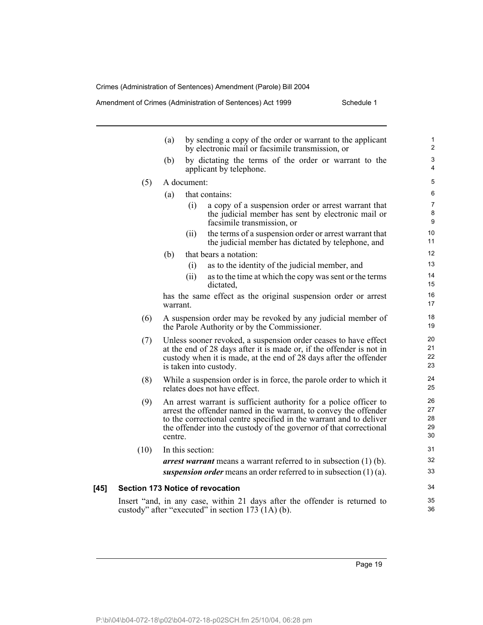Amendment of Crimes (Administration of Sentences) Act 1999 Schedule 1

|        |                                         | (a)                                                                                                 |                                                                                                                                                                                                                                        | by sending a copy of the order or warrant to the applicant<br>by electronic mail or facsimile transmission, or                                                                                                                                                                    | $\mathbf{1}$<br>$\overline{2}$                |  |  |
|--------|-----------------------------------------|-----------------------------------------------------------------------------------------------------|----------------------------------------------------------------------------------------------------------------------------------------------------------------------------------------------------------------------------------------|-----------------------------------------------------------------------------------------------------------------------------------------------------------------------------------------------------------------------------------------------------------------------------------|-----------------------------------------------|--|--|
|        |                                         | (b)                                                                                                 |                                                                                                                                                                                                                                        | by dictating the terms of the order or warrant to the<br>applicant by telephone.                                                                                                                                                                                                  | $\mathsf 3$<br>4                              |  |  |
|        | (5)                                     | A document:                                                                                         |                                                                                                                                                                                                                                        |                                                                                                                                                                                                                                                                                   | 5                                             |  |  |
|        |                                         | (a)                                                                                                 |                                                                                                                                                                                                                                        | that contains:                                                                                                                                                                                                                                                                    | 6                                             |  |  |
|        |                                         |                                                                                                     | (i)                                                                                                                                                                                                                                    | a copy of a suspension order or arrest warrant that<br>the judicial member has sent by electronic mail or<br>facsimile transmission, or                                                                                                                                           | $\overline{7}$<br>$\bf 8$<br>$\boldsymbol{9}$ |  |  |
|        |                                         |                                                                                                     | (ii)                                                                                                                                                                                                                                   | the terms of a suspension order or arrest warrant that<br>the judicial member has dictated by telephone, and                                                                                                                                                                      | 10<br>11                                      |  |  |
|        |                                         | (b)                                                                                                 |                                                                                                                                                                                                                                        | that bears a notation:                                                                                                                                                                                                                                                            | 12                                            |  |  |
|        |                                         |                                                                                                     | (i)                                                                                                                                                                                                                                    | as to the identity of the judicial member, and                                                                                                                                                                                                                                    | 13                                            |  |  |
|        |                                         |                                                                                                     | (ii)                                                                                                                                                                                                                                   | as to the time at which the copy was sent or the terms<br>dictated,                                                                                                                                                                                                               | 14<br>15                                      |  |  |
|        |                                         | warrant.                                                                                            |                                                                                                                                                                                                                                        | has the same effect as the original suspension order or arrest                                                                                                                                                                                                                    | 16<br>17                                      |  |  |
|        | (6)                                     |                                                                                                     |                                                                                                                                                                                                                                        | A suspension order may be revoked by any judicial member of<br>the Parole Authority or by the Commissioner.                                                                                                                                                                       | 18<br>19                                      |  |  |
|        | (7)                                     |                                                                                                     | Unless sooner revoked, a suspension order ceases to have effect<br>at the end of 28 days after it is made or, if the offender is not in<br>custody when it is made, at the end of 28 days after the offender<br>is taken into custody. |                                                                                                                                                                                                                                                                                   |                                               |  |  |
|        | (8)                                     | While a suspension order is in force, the parole order to which it<br>relates does not have effect. |                                                                                                                                                                                                                                        |                                                                                                                                                                                                                                                                                   |                                               |  |  |
|        | (9)                                     | centre.                                                                                             |                                                                                                                                                                                                                                        | An arrest warrant is sufficient authority for a police officer to<br>arrest the offender named in the warrant, to convey the offender<br>to the correctional centre specified in the warrant and to deliver<br>the offender into the custody of the governor of that correctional | 26<br>27<br>28<br>29<br>30                    |  |  |
|        | (10)                                    | In this section:                                                                                    |                                                                                                                                                                                                                                        |                                                                                                                                                                                                                                                                                   | 31                                            |  |  |
|        |                                         |                                                                                                     |                                                                                                                                                                                                                                        | <i>arrest warrant</i> means a warrant referred to in subsection $(1)$ (b).                                                                                                                                                                                                        | 32                                            |  |  |
|        |                                         |                                                                                                     |                                                                                                                                                                                                                                        | suspension order means an order referred to in subsection $(1)$ (a).                                                                                                                                                                                                              | 33                                            |  |  |
| $[45]$ | <b>Section 173 Notice of revocation</b> |                                                                                                     |                                                                                                                                                                                                                                        |                                                                                                                                                                                                                                                                                   | 34                                            |  |  |
|        |                                         |                                                                                                     |                                                                                                                                                                                                                                        | Insert "and, in any case, within 21 days after the offender is returned to<br>custody" after "executed" in section $173(1A)(b)$ .                                                                                                                                                 | 35<br>36                                      |  |  |

Page 19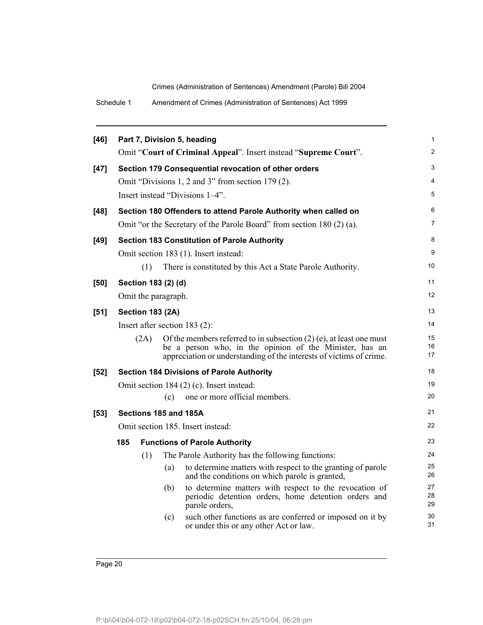Schedule 1 Amendment of Crimes (Administration of Sentences) Act 1999

| $[46]$ |                                                      |                     |     | Part 7, Division 5, heading                                                                                                                                                                             | $\mathbf{1}$   |  |  |  |
|--------|------------------------------------------------------|---------------------|-----|---------------------------------------------------------------------------------------------------------------------------------------------------------------------------------------------------------|----------------|--|--|--|
|        |                                                      |                     |     | Omit "Court of Criminal Appeal". Insert instead "Supreme Court".                                                                                                                                        | $\overline{c}$ |  |  |  |
| $[47]$ | Section 179 Consequential revocation of other orders |                     |     |                                                                                                                                                                                                         |                |  |  |  |
|        |                                                      |                     |     | Omit "Divisions 1, 2 and 3" from section 179 (2).                                                                                                                                                       | 4              |  |  |  |
|        |                                                      |                     |     | Insert instead "Divisions 1-4".                                                                                                                                                                         | 5              |  |  |  |
| [48]   |                                                      |                     |     | Section 180 Offenders to attend Parole Authority when called on                                                                                                                                         | 6              |  |  |  |
|        |                                                      |                     |     | Omit "or the Secretary of the Parole Board" from section 180 (2) (a).                                                                                                                                   | $\overline{7}$ |  |  |  |
| $[49]$ |                                                      |                     |     | <b>Section 183 Constitution of Parole Authority</b>                                                                                                                                                     | 8              |  |  |  |
|        |                                                      |                     |     | Omit section 183 (1). Insert instead:                                                                                                                                                                   | 9              |  |  |  |
|        |                                                      | (1)                 |     | There is constituted by this Act a State Parole Authority.                                                                                                                                              | 10             |  |  |  |
| [50]   |                                                      | Section 183 (2) (d) |     |                                                                                                                                                                                                         | 11             |  |  |  |
|        |                                                      | Omit the paragraph. |     |                                                                                                                                                                                                         | 12             |  |  |  |
| $[51]$ | <b>Section 183 (2A)</b>                              |                     |     |                                                                                                                                                                                                         |                |  |  |  |
|        |                                                      |                     |     | Insert after section $183$ (2):                                                                                                                                                                         | 14             |  |  |  |
|        |                                                      | (2A)                |     | Of the members referred to in subsection $(2)$ (e), at least one must<br>be a person who, in the opinion of the Minister, has an<br>appreciation or understanding of the interests of victims of crime. | 15<br>16<br>17 |  |  |  |
| $[52]$ |                                                      |                     |     | <b>Section 184 Divisions of Parole Authority</b>                                                                                                                                                        | 18             |  |  |  |
|        |                                                      |                     |     | Omit section 184 (2) (c). Insert instead:                                                                                                                                                               | 19             |  |  |  |
|        |                                                      |                     | (c) | one or more official members.                                                                                                                                                                           | 20             |  |  |  |
| $[53]$ |                                                      |                     |     | Sections 185 and 185A                                                                                                                                                                                   | 21             |  |  |  |
|        | Omit section 185. Insert instead:                    |                     |     |                                                                                                                                                                                                         |                |  |  |  |
|        | 185                                                  |                     |     | <b>Functions of Parole Authority</b>                                                                                                                                                                    | 23             |  |  |  |
|        |                                                      | (1)                 |     | The Parole Authority has the following functions:                                                                                                                                                       | 24             |  |  |  |
|        |                                                      |                     | (a) | to determine matters with respect to the granting of parole<br>and the conditions on which parole is granted,                                                                                           | 25<br>26       |  |  |  |
|        |                                                      |                     | (b) | to determine matters with respect to the revocation of<br>periodic detention orders, home detention orders and<br>parole orders,                                                                        | 27<br>28<br>29 |  |  |  |
|        |                                                      |                     | (c) | such other functions as are conferred or imposed on it by<br>or under this or any other Act or law.                                                                                                     | 30<br>31       |  |  |  |
|        |                                                      |                     |     |                                                                                                                                                                                                         |                |  |  |  |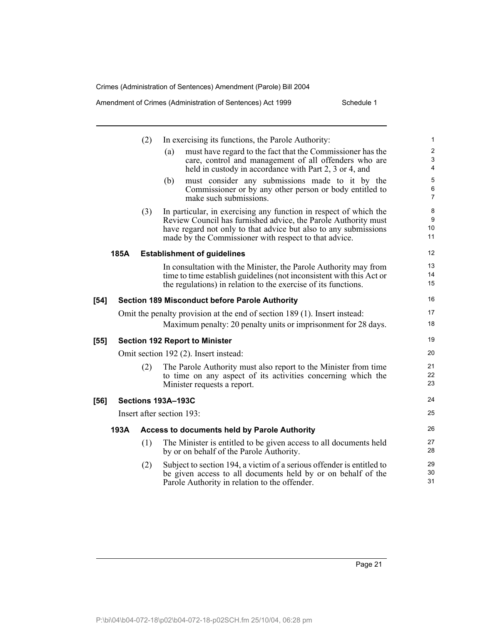Amendment of Crimes (Administration of Sentences) Act 1999 Schedule 1

|        |      | (2) | In exercising its functions, the Parole Authority:                                                                                                                                                                                                              | $\mathbf{1}$                                       |
|--------|------|-----|-----------------------------------------------------------------------------------------------------------------------------------------------------------------------------------------------------------------------------------------------------------------|----------------------------------------------------|
|        |      |     | must have regard to the fact that the Commissioner has the<br>(a)<br>care, control and management of all offenders who are<br>held in custody in accordance with Part 2, 3 or 4, and                                                                            | $\overline{c}$<br>$\mathfrak{S}$<br>$\overline{4}$ |
|        |      |     | must consider any submissions made to it by the<br>(b)<br>Commissioner or by any other person or body entitled to<br>make such submissions.                                                                                                                     | 5<br>$\,6\,$<br>$\overline{7}$                     |
|        |      | (3) | In particular, in exercising any function in respect of which the<br>Review Council has furnished advice, the Parole Authority must<br>have regard not only to that advice but also to any submissions<br>made by the Commissioner with respect to that advice. | 8<br>9<br>10<br>11                                 |
|        | 185A |     | <b>Establishment of guidelines</b>                                                                                                                                                                                                                              | 12                                                 |
|        |      |     | In consultation with the Minister, the Parole Authority may from<br>time to time establish guidelines (not inconsistent with this Act or<br>the regulations) in relation to the exercise of its functions.                                                      | 13<br>14<br>15                                     |
| $[54]$ |      |     | <b>Section 189 Misconduct before Parole Authority</b>                                                                                                                                                                                                           | 16                                                 |
|        |      |     | Omit the penalty provision at the end of section 189 (1). Insert instead:                                                                                                                                                                                       | 17                                                 |
|        |      |     | Maximum penalty: 20 penalty units or imprisonment for 28 days.                                                                                                                                                                                                  | 18                                                 |
| $[55]$ |      |     | <b>Section 192 Report to Minister</b>                                                                                                                                                                                                                           | 19                                                 |
|        |      |     | Omit section 192 (2). Insert instead:                                                                                                                                                                                                                           | 20                                                 |
|        |      | (2) | The Parole Authority must also report to the Minister from time<br>to time on any aspect of its activities concerning which the<br>Minister requests a report.                                                                                                  | 21<br>22<br>23                                     |
| [56]   |      |     | Sections 193A-193C                                                                                                                                                                                                                                              | 24                                                 |
|        |      |     | Insert after section 193:                                                                                                                                                                                                                                       | 25                                                 |
|        | 193A |     | Access to documents held by Parole Authority                                                                                                                                                                                                                    | 26                                                 |
|        |      | (1) | The Minister is entitled to be given access to all documents held<br>by or on behalf of the Parole Authority.                                                                                                                                                   | 27<br>28                                           |
|        |      | (2) | Subject to section 194, a victim of a serious offender is entitled to<br>be given access to all documents held by or on behalf of the<br>Parole Authority in relation to the offender.                                                                          | 29<br>30<br>31                                     |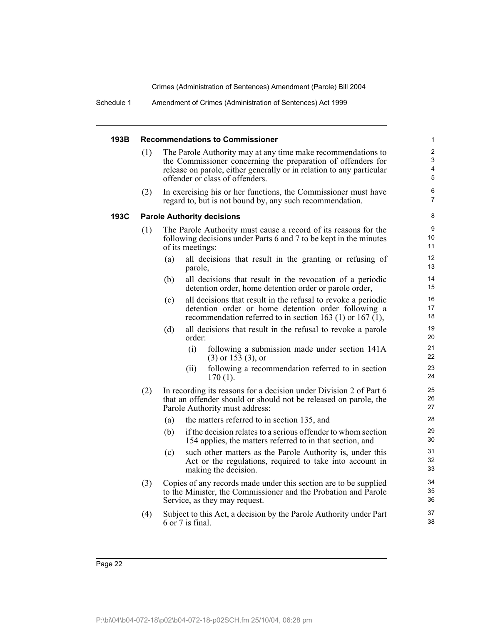Schedule 1 Amendment of Crimes (Administration of Sentences) Act 1999

#### **193B Recommendations to Commissioner**

- (1) The Parole Authority may at any time make recommendations to the Commissioner concerning the preparation of offenders for release on parole, either generally or in relation to any particular offender or class of offenders.
- (2) In exercising his or her functions, the Commissioner must have regard to, but is not bound by, any such recommendation.

### 8 9

## **193C Parole Authority decisions**

- (1) The Parole Authority must cause a record of its reasons for the following decisions under Parts 6 and 7 to be kept in the minutes of its meetings:
	- (a) all decisions that result in the granting or refusing of parole,
	- (b) all decisions that result in the revocation of a periodic detention order, home detention order or parole order,
	- (c) all decisions that result in the refusal to revoke a periodic detention order or home detention order following a recommendation referred to in section 163 (1) or 167 (1),
	- (d) all decisions that result in the refusal to revoke a parole order:
		- (i) following a submission made under section 141A (3) or 153 (3), or
		- (ii) following a recommendation referred to in section 170 (1).
- (2) In recording its reasons for a decision under Division 2 of Part 6 that an offender should or should not be released on parole, the Parole Authority must address:
	- (a) the matters referred to in section 135, and
	- (b) if the decision relates to a serious offender to whom section 154 applies, the matters referred to in that section, and
	- (c) such other matters as the Parole Authority is, under this Act or the regulations, required to take into account in making the decision.
- (3) Copies of any records made under this section are to be supplied to the Minister, the Commissioner and the Probation and Parole Service, as they may request.
- (4) Subject to this Act, a decision by the Parole Authority under Part 6 or 7 is final.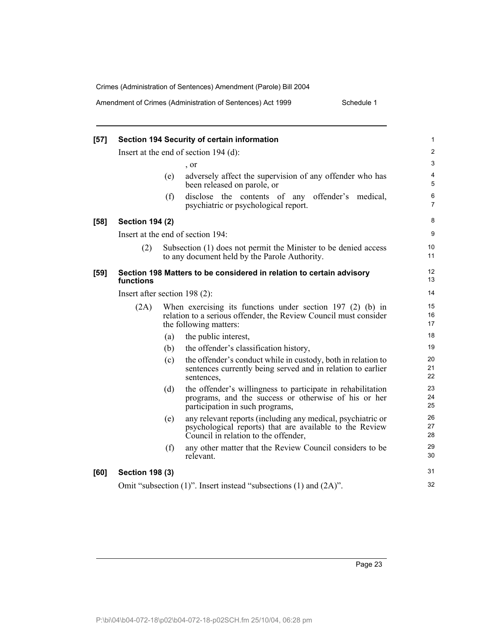Amendment of Crimes (Administration of Sentences) Act 1999 Schedule 1

| $[57]$ |                               |     | Section 194 Security of certain information                                                                                                                    | $\mathbf{1}$              |  |  |  |
|--------|-------------------------------|-----|----------------------------------------------------------------------------------------------------------------------------------------------------------------|---------------------------|--|--|--|
|        |                               |     | Insert at the end of section $194$ (d):                                                                                                                        | $\overline{2}$            |  |  |  |
|        |                               |     | , or                                                                                                                                                           | 3                         |  |  |  |
|        |                               | (e) | adversely affect the supervision of any offender who has<br>been released on parole, or                                                                        | 4<br>5                    |  |  |  |
|        |                               | (f) | disclose the contents of any offender's medical,<br>psychiatric or psychological report.                                                                       | $\,6\,$<br>$\overline{7}$ |  |  |  |
| [58]   | <b>Section 194 (2)</b>        |     |                                                                                                                                                                | 8                         |  |  |  |
|        |                               |     | Insert at the end of section 194:                                                                                                                              | 9                         |  |  |  |
|        | (2)                           |     | Subsection (1) does not permit the Minister to be denied access<br>to any document held by the Parole Authority.                                               | 10<br>11                  |  |  |  |
| $[59]$ | functions                     |     | Section 198 Matters to be considered in relation to certain advisory                                                                                           | 12<br>13                  |  |  |  |
|        | Insert after section 198 (2): |     |                                                                                                                                                                | 14                        |  |  |  |
|        | (2A)                          |     | When exercising its functions under section $197$ (2) (b) in<br>relation to a serious offender, the Review Council must consider<br>the following matters:     | 15<br>16<br>17            |  |  |  |
|        |                               | (a) | the public interest,                                                                                                                                           | 18                        |  |  |  |
|        |                               | (b) | the offender's classification history,                                                                                                                         | 19                        |  |  |  |
|        |                               | (c) | the offender's conduct while in custody, both in relation to<br>sentences currently being served and in relation to earlier<br>sentences,                      | 20<br>21<br>22            |  |  |  |
|        |                               | (d) | the offender's willingness to participate in rehabilitation<br>programs, and the success or otherwise of his or her<br>participation in such programs,         | 23<br>24<br>25            |  |  |  |
|        |                               | (e) | any relevant reports (including any medical, psychiatric or<br>psychological reports) that are available to the Review<br>Council in relation to the offender, | 26<br>27<br>28            |  |  |  |
|        |                               | (f) | any other matter that the Review Council considers to be<br>relevant.                                                                                          | 29<br>30                  |  |  |  |
| [60]   | <b>Section 198 (3)</b>        |     |                                                                                                                                                                | 31                        |  |  |  |
|        |                               |     | Omit "subsection (1)". Insert instead "subsections (1) and (2A)".                                                                                              | 32                        |  |  |  |
|        |                               |     |                                                                                                                                                                |                           |  |  |  |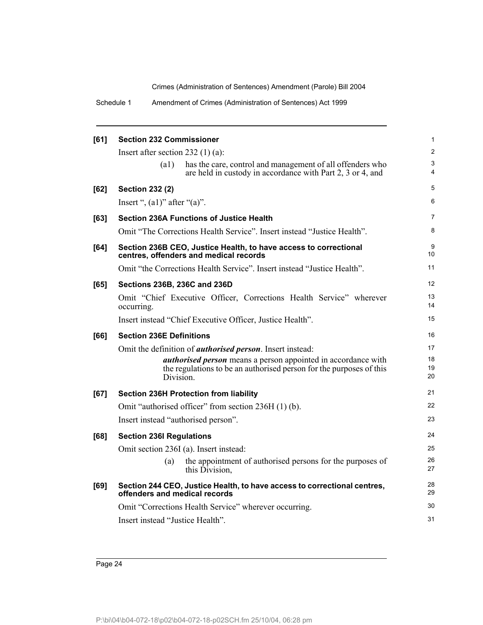Schedule 1 Amendment of Crimes (Administration of Sentences) Act 1999

| [61]   | <b>Section 232 Commissioner</b>                                                                                                                                                                                               | $\mathbf{1}$         |
|--------|-------------------------------------------------------------------------------------------------------------------------------------------------------------------------------------------------------------------------------|----------------------|
|        | Insert after section 232 $(1)$ (a):                                                                                                                                                                                           | 2                    |
|        | $\left( a1\right)$<br>has the care, control and management of all offenders who<br>are held in custody in accordance with Part 2, 3 or 4, and                                                                                 | 3<br>4               |
| [62]   | <b>Section 232 (2)</b>                                                                                                                                                                                                        | 5                    |
|        | Insert ", $(a1)$ " after " $(a)$ ".                                                                                                                                                                                           | 6                    |
| [63]   | <b>Section 236A Functions of Justice Health</b>                                                                                                                                                                               | 7                    |
|        | Omit "The Corrections Health Service". Insert instead "Justice Health".                                                                                                                                                       | 8                    |
| [64]   | Section 236B CEO, Justice Health, to have access to correctional<br>centres, offenders and medical records                                                                                                                    | 9<br>10              |
|        | Omit "the Corrections Health Service". Insert instead "Justice Health".                                                                                                                                                       | 11                   |
| [65]   | Sections 236B, 236C and 236D                                                                                                                                                                                                  | 12                   |
|        | Omit "Chief Executive Officer, Corrections Health Service" wherever<br>occurring.                                                                                                                                             | 13<br>14             |
|        | Insert instead "Chief Executive Officer, Justice Health".                                                                                                                                                                     | 15                   |
| [66]   | <b>Section 236E Definitions</b>                                                                                                                                                                                               | 16                   |
|        | Omit the definition of <i>authorised person</i> . Insert instead:<br><i>authorised person</i> means a person appointed in accordance with<br>the regulations to be an authorised person for the purposes of this<br>Division. | 17<br>18<br>19<br>20 |
| $[67]$ | <b>Section 236H Protection from liability</b>                                                                                                                                                                                 | 21                   |
|        | Omit "authorised officer" from section 236H (1) (b).                                                                                                                                                                          | 22                   |
|        | Insert instead "authorised person".                                                                                                                                                                                           | 23                   |
| [68]   | <b>Section 236I Regulations</b>                                                                                                                                                                                               | 24                   |
|        | Omit section 236I (a). Insert instead:                                                                                                                                                                                        | 25                   |
|        | the appointment of authorised persons for the purposes of<br>(a)<br>this Division,                                                                                                                                            | 26<br>27             |
| [69]   | Section 244 CEO, Justice Health, to have access to correctional centres,<br>offenders and medical records                                                                                                                     | 28<br>29             |
|        | Omit "Corrections Health Service" wherever occurring.                                                                                                                                                                         | 30                   |
|        | Insert instead "Justice Health".                                                                                                                                                                                              | 31                   |
|        |                                                                                                                                                                                                                               |                      |

Page 24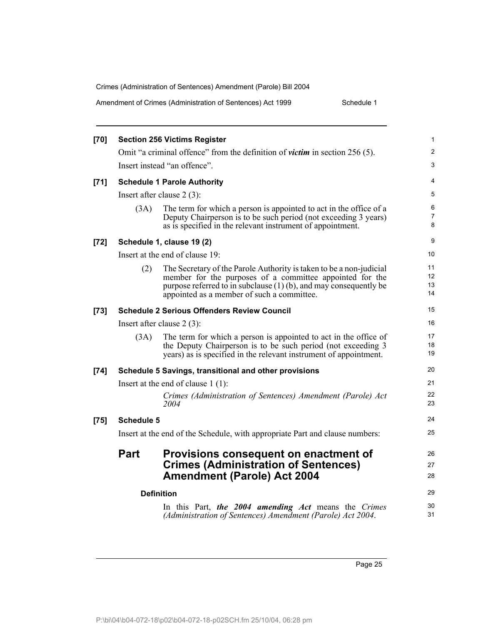|  | Amendment of Crimes (Administration of Sentences) Act 1999 | Schedule 1 |
|--|------------------------------------------------------------|------------|
|--|------------------------------------------------------------|------------|

| $[70]$ |                                                                              | <b>Section 256 Victims Register</b>                                                                                                                                                                                                                  | $\mathbf{1}$         |
|--------|------------------------------------------------------------------------------|------------------------------------------------------------------------------------------------------------------------------------------------------------------------------------------------------------------------------------------------------|----------------------|
|        |                                                                              | Omit "a criminal offence" from the definition of victim in section 256 (5).                                                                                                                                                                          | $\overline{2}$       |
|        |                                                                              | Insert instead "an offence".                                                                                                                                                                                                                         | 3                    |
| $[71]$ |                                                                              | <b>Schedule 1 Parole Authority</b>                                                                                                                                                                                                                   | 4                    |
|        |                                                                              | Insert after clause $2(3)$ :                                                                                                                                                                                                                         | 5                    |
|        | (3A)                                                                         | The term for which a person is appointed to act in the office of a<br>Deputy Chairperson is to be such period (not exceeding 3 years)<br>as is specified in the relevant instrument of appointment.                                                  | 6<br>7<br>8          |
| $[72]$ | Schedule 1, clause 19 (2)                                                    |                                                                                                                                                                                                                                                      | 9                    |
|        |                                                                              | Insert at the end of clause 19:                                                                                                                                                                                                                      | 10                   |
|        | (2)                                                                          | The Secretary of the Parole Authority is taken to be a non-judicial<br>member for the purposes of a committee appointed for the<br>purpose referred to in subclause $(1)$ (b), and may consequently be<br>appointed as a member of such a committee. | 11<br>12<br>13<br>14 |
| $[73]$ |                                                                              | <b>Schedule 2 Serious Offenders Review Council</b>                                                                                                                                                                                                   | 15                   |
|        |                                                                              | Insert after clause $2(3)$ :                                                                                                                                                                                                                         | 16                   |
|        | (3A)                                                                         | The term for which a person is appointed to act in the office of<br>the Deputy Chairperson is to be such period (not exceeding 3)<br>years) as is specified in the relevant instrument of appointment.                                               | 17<br>18<br>19       |
| $[74]$ |                                                                              | Schedule 5 Savings, transitional and other provisions                                                                                                                                                                                                | 20                   |
|        | Insert at the end of clause $1(1)$ :                                         |                                                                                                                                                                                                                                                      |                      |
|        |                                                                              | Crimes (Administration of Sentences) Amendment (Parole) Act<br>2004                                                                                                                                                                                  | 22<br>23             |
| $[75]$ | Schedule 5                                                                   |                                                                                                                                                                                                                                                      | 24                   |
|        | Insert at the end of the Schedule, with appropriate Part and clause numbers: |                                                                                                                                                                                                                                                      |                      |
|        | <b>Part</b>                                                                  | Provisions consequent on enactment of<br><b>Crimes (Administration of Sentences)</b><br><b>Amendment (Parole) Act 2004</b>                                                                                                                           | 26<br>27<br>28       |
|        |                                                                              | <b>Definition</b>                                                                                                                                                                                                                                    | 29                   |
|        |                                                                              | In this Part, the 2004 amending Act means the Crimes<br>(Administration of Sentences) Amendment (Parole) Act 2004.                                                                                                                                   | 30<br>31             |

Page 25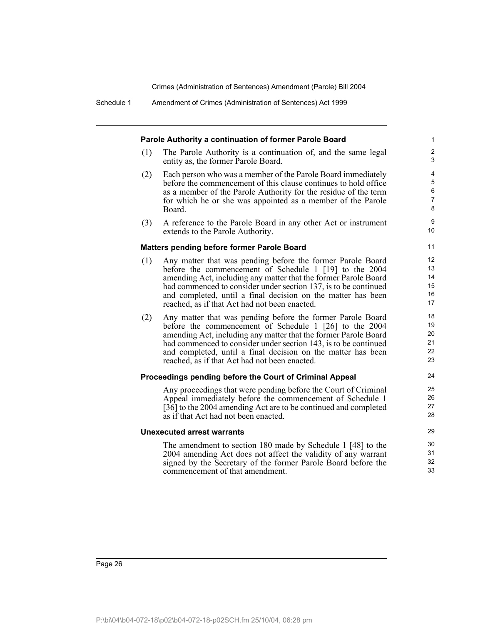Schedule 1 Amendment of Crimes (Administration of Sentences) Act 1999

|     | Parole Authority a continuation of former Parole Board                                                                                                                                                                                                                                                                                                                      |  |
|-----|-----------------------------------------------------------------------------------------------------------------------------------------------------------------------------------------------------------------------------------------------------------------------------------------------------------------------------------------------------------------------------|--|
| (1) | The Parole Authority is a continuation of, and the same legal<br>entity as, the former Parole Board.                                                                                                                                                                                                                                                                        |  |
| (2) | Each person who was a member of the Parole Board immediately<br>before the commencement of this clause continues to hold office<br>as a member of the Parole Authority for the residue of the term<br>for which he or she was appointed as a member of the Parole<br>Board.                                                                                                 |  |
| (3) | A reference to the Parole Board in any other Act or instrument<br>extends to the Parole Authority.                                                                                                                                                                                                                                                                          |  |
|     | <b>Matters pending before former Parole Board</b>                                                                                                                                                                                                                                                                                                                           |  |
| (1) | Any matter that was pending before the former Parole Board<br>before the commencement of Schedule 1 [19] to the 2004<br>amending Act, including any matter that the former Parole Board<br>had commenced to consider under section 137, is to be continued<br>and completed, until a final decision on the matter has been<br>reached, as if that Act had not been enacted. |  |
| (2) | Any matter that was pending before the former Parole Board<br>before the commencement of Schedule 1 [26] to the 2004<br>amending Act, including any matter that the former Parole Board<br>had commenced to consider under section 143, is to be continued<br>and completed, until a final decision on the matter has been<br>reached, as if that Act had not been enacted. |  |
|     | Proceedings pending before the Court of Criminal Appeal                                                                                                                                                                                                                                                                                                                     |  |
|     | Any proceedings that were pending before the Court of Criminal<br>Appeal immediately before the commencement of Schedule 1<br>[36] to the 2004 amending Act are to be continued and completed<br>as if that Act had not been enacted.                                                                                                                                       |  |
|     | <b>Unexecuted arrest warrants</b>                                                                                                                                                                                                                                                                                                                                           |  |
|     | The amendment to section 180 made by Schedule 1 [48] to the<br>2004 amending Act does not affect the validity of any warrant<br>signed by the Secretary of the former Parole Board before the<br>commencement of that amendment.                                                                                                                                            |  |
|     |                                                                                                                                                                                                                                                                                                                                                                             |  |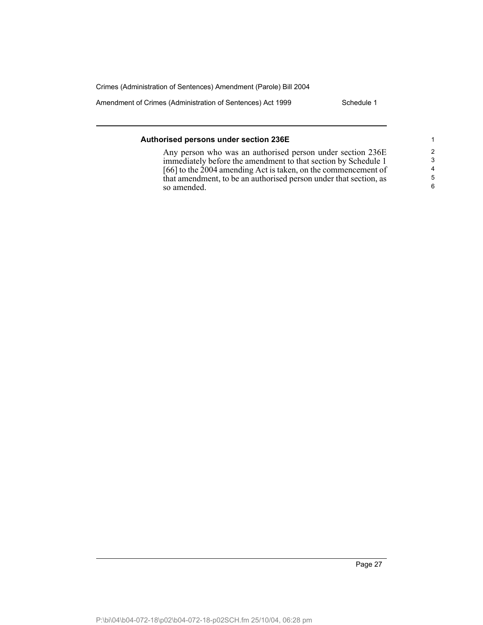Amendment of Crimes (Administration of Sentences) Act 1999 Schedule 1

| Authorised persons under section 236E                             |               |
|-------------------------------------------------------------------|---------------|
| Any person who was an authorised person under section 236E        | $\mathcal{P}$ |
| immediately before the amendment to that section by Schedule 1    | 3             |
| [66] to the 2004 amending Act is taken, on the commencement of    | 4             |
| that amendment, to be an authorised person under that section, as | 5             |
| so amended.                                                       | 6             |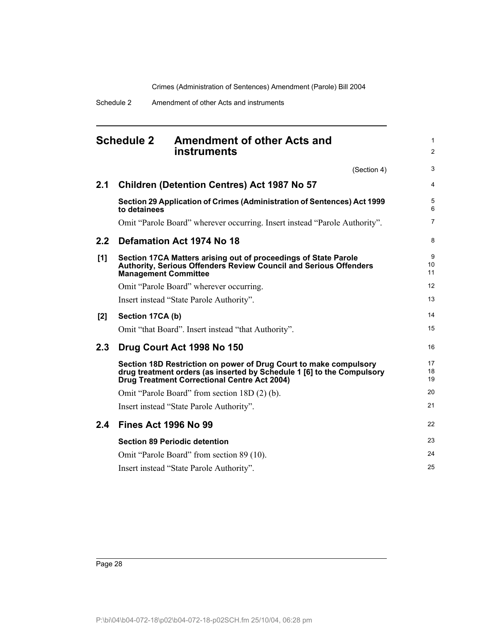Schedule 2 Amendment of other Acts and instruments

|     | <b>Schedule 2</b><br><b>Amendment of other Acts and</b><br>instruments                                                                                                                      | $\mathbf{1}$<br>$\overline{2}$ |
|-----|---------------------------------------------------------------------------------------------------------------------------------------------------------------------------------------------|--------------------------------|
|     | (Section 4)                                                                                                                                                                                 | 3                              |
| 2.1 | <b>Children (Detention Centres) Act 1987 No 57</b>                                                                                                                                          | 4                              |
|     | Section 29 Application of Crimes (Administration of Sentences) Act 1999<br>to detainees                                                                                                     | 5<br>6                         |
|     | Omit "Parole Board" wherever occurring. Insert instead "Parole Authority".                                                                                                                  | $\overline{7}$                 |
| 2.2 | Defamation Act 1974 No 18                                                                                                                                                                   | 8                              |
| [1] | Section 17CA Matters arising out of proceedings of State Parole<br>Authority, Serious Offenders Review Council and Serious Offenders<br><b>Management Committee</b>                         | 9<br>10<br>11                  |
|     | Omit "Parole Board" wherever occurring.                                                                                                                                                     | 12                             |
|     | Insert instead "State Parole Authority".                                                                                                                                                    | 13                             |
| [2] | Section 17CA (b)                                                                                                                                                                            | 14                             |
|     | Omit "that Board". Insert instead "that Authority".                                                                                                                                         | 15                             |
| 2.3 | Drug Court Act 1998 No 150                                                                                                                                                                  | 16                             |
|     | Section 18D Restriction on power of Drug Court to make compulsory<br>drug treatment orders (as inserted by Schedule 1 [6] to the Compulsory<br>Drug Treatment Correctional Centre Act 2004) | 17<br>18<br>19                 |
|     | Omit "Parole Board" from section 18D (2) (b).                                                                                                                                               | 20                             |
|     | Insert instead "State Parole Authority".                                                                                                                                                    | 21                             |
| 2.4 | <b>Fines Act 1996 No 99</b>                                                                                                                                                                 | 22                             |
|     | <b>Section 89 Periodic detention</b>                                                                                                                                                        | 23                             |
|     | Omit "Parole Board" from section 89 (10).                                                                                                                                                   | 24                             |
|     | Insert instead "State Parole Authority".                                                                                                                                                    | 25                             |